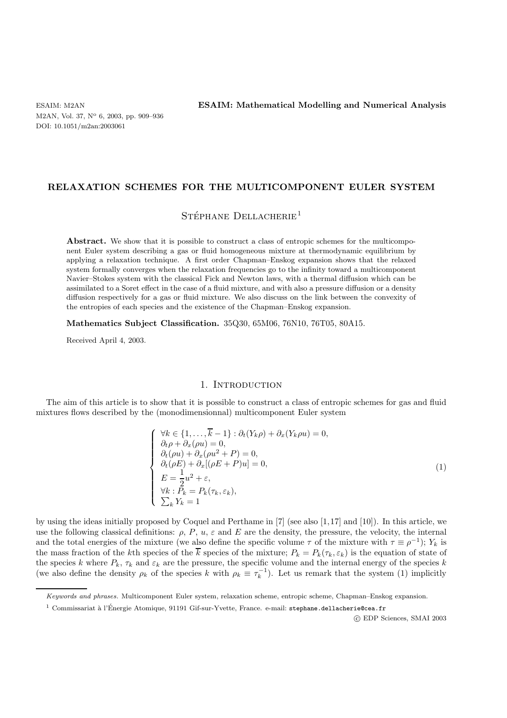M2AN, Vol. 37, N<sup>o</sup> 6, 2003, pp. 909–936 DOI: 10.1051/m2an:2003061

ESAIM: M2AN **ESAIM: Mathematical Modelling and Numerical Analysis**

## **RELAXATION SCHEMES FOR THE MULTICOMPONENT EULER SYSTEM**

# $\text{STÉPHANE}\ \text{DELLACHERIE}^1$

Abstract. We show that it is possible to construct a class of entropic schemes for the multicomponent Euler system describing a gas or fluid homogeneous mixture at thermodynamic equilibrium by applying a relaxation technique. A first order Chapman–Enskog expansion shows that the relaxed system formally converges when the relaxation frequencies go to the infinity toward a multicomponent Navier–Stokes system with the classical Fick and Newton laws, with a thermal diffusion which can be assimilated to a Soret effect in the case of a fluid mixture, and with also a pressure diffusion or a density diffusion respectively for a gas or fluid mixture. We also discuss on the link between the convexity of the entropies of each species and the existence of the Chapman–Enskog expansion.

**Mathematics Subject Classification.** 35Q30, 65M06, 76N10, 76T05, 80A15.

Received April 4, 2003.

#### 1. Introduction

The aim of this article is to show that it is possible to construct a class of entropic schemes for gas and fluid mixtures flows described by the (monodimensionnal) multicomponent Euler system

$$
\begin{cases}\n\forall k \in \{1, \dots, \overline{k} - 1\} : \partial_t (Y_k \rho) + \partial_x (Y_k \rho u) = 0, \\
\partial_t \rho + \partial_x (\rho u) = 0, \\
\partial_t (\rho u) + \partial_x (\rho u^2 + P) = 0, \\
\partial_t (\rho E) + \partial_x [(\rho E + P) u] = 0, \\
E = \frac{1}{2} u^2 + \varepsilon, \\
\forall k : P_k = P_k (\tau_k, \varepsilon_k), \\
\sum_k Y_k = 1\n\end{cases}
$$
\n(1)

by using the ideas initially proposed by Coquel and Perthame in [7] (see also [1,17] and [10]). In this article, we use the following classical definitions:  $\rho$ ,  $P$ ,  $u$ ,  $\varepsilon$  and  $E$  are the density, the pressure, the velocity, the internal and the total energies of the mixture (we also define the specific volume  $\tau$  of the mixture with  $\tau \equiv \rho^{-1}$ );  $Y_k$  is the mass fraction of the kth species of the  $\overline{k}$  species of the mixture;  $P_k = P_k(\tau_k, \varepsilon_k)$  is the equation of state of the species k where  $P_k$ ,  $\tau_k$  and  $\varepsilon_k$  are the pressure, the specific volume and the internal energy of the species k (we also define the density  $\rho_k$  of the species k with  $\rho_k \equiv \tau_k^{-1}$ ). Let us remark that the system (1) implicitly

c EDP Sciences, SMAI 2003

Keywords and phrases. Multicomponent Euler system, relaxation scheme, entropic scheme, Chapman–Enskog expansion.

 $^1$  Commissariat à l'Énergie Atomique, 91191 Gif-sur-Yvette, France. e-mail: stephane.dellacherie@cea.fr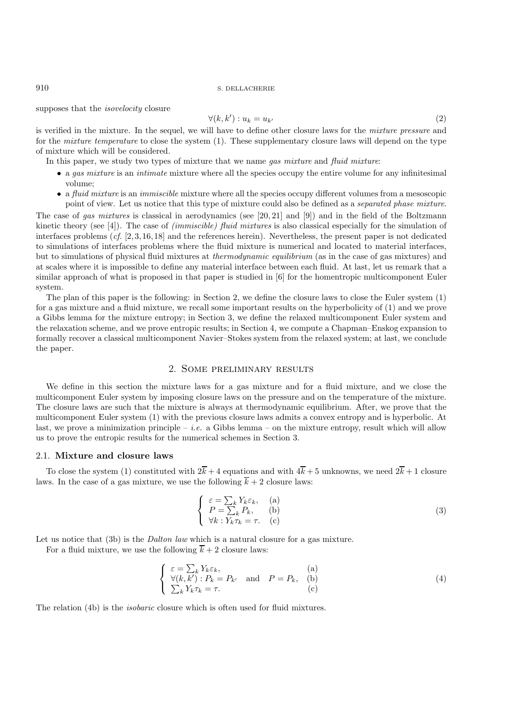supposes that the *isovelocity* closure

$$
\forall (k, k') : u_k = u_{k'} \tag{2}
$$

is verified in the mixture. In the sequel, we will have to define other closure laws for the *mixture pressure* and for the *mixture temperature* to close the system (1). These supplementary closure laws will depend on the type of mixture which will be considered.

In this paper, we study two types of mixture that we name *gas mixture* and *fluid mixture*:

- a *gas mixture* is an *intimate* mixture where all the species occupy the entire volume for any infinitesimal volume;
- a *fluid mixture* is an *immiscible* mixture where all the species occupy different volumes from a mesoscopic point of view. Let us notice that this type of mixture could also be defined as a *separated phase mixture*.

The case of *gas mixtures* is classical in aerodynamics (see [20, 21] and [9]) and in the field of the Boltzmann kinetic theory (see [4]). The case of *(immiscible) fluid mixtures* is also classical especially for the simulation of interfaces problems (*cf.* [2, 3, 16, 18] and the references herein). Nevertheless, the present paper is not dedicated to simulations of interfaces problems where the fluid mixture is numerical and located to material interfaces, but to simulations of physical fluid mixtures at *thermodynamic equilibrium* (as in the case of gas mixtures) and at scales where it is impossible to define any material interface between each fluid. At last, let us remark that a similar approach of what is proposed in that paper is studied in [6] for the homentropic multicomponent Euler system.

The plan of this paper is the following: in Section 2, we define the closure laws to close the Euler system (1) for a gas mixture and a fluid mixture, we recall some important results on the hyperbolicity of (1) and we prove a Gibbs lemma for the mixture entropy; in Section 3, we define the relaxed multicomponent Euler system and the relaxation scheme, and we prove entropic results; in Section 4, we compute a Chapman–Enskog expansion to formally recover a classical multicomponent Navier–Stokes system from the relaxed system; at last, we conclude the paper.

## 2. Some preliminary results

We define in this section the mixture laws for a gas mixture and for a fluid mixture, and we close the multicomponent Euler system by imposing closure laws on the pressure and on the temperature of the mixture. The closure laws are such that the mixture is always at thermodynamic equilibrium. After, we prove that the multicomponent Euler system (1) with the previous closure laws admits a convex entropy and is hyperbolic. At last, we prove a minimization principle – *i.e.* a Gibbs lemma – on the mixture entropy, result which will allow us to prove the entropic results for the numerical schemes in Section 3.

## 2.1. **Mixture and closure laws**

To close the system (1) constituted with  $2\bar{k} + 4$  equations and with  $4\bar{k} + 5$  unknowns, we need  $2\bar{k} + 1$  closure laws. In the case of a gas mixture, we use the following  $\overline{k} + 2$  closure laws:

$$
\begin{cases}\n\varepsilon = \sum_{k} Y_{k} \varepsilon_{k}, & \text{(a)} \\
P = \sum_{k} P_{k}, & \text{(b)} \\
\forall k : Y_{k} \tau_{k} = \tau. & \text{(c)}\n\end{cases}
$$
\n(3)

Let us notice that (3b) is the *Dalton law* which is a natural closure for a gas mixture.

For a fluid mixture, we use the following  $\overline{k} + 2$  closure laws:

$$
\begin{cases}\n\varepsilon = \sum_{k} Y_{k} \varepsilon_{k}, & \text{(a)} \\
\forall (k, k') : P_{k} = P_{k'} \text{ and } P = P_{k}, & \text{(b)} \\
\sum_{k} Y_{k} \tau_{k} = \tau. & \text{(c)}\n\end{cases}
$$
\n(4)

The relation (4b) is the *isobaric* closure which is often used for fluid mixtures.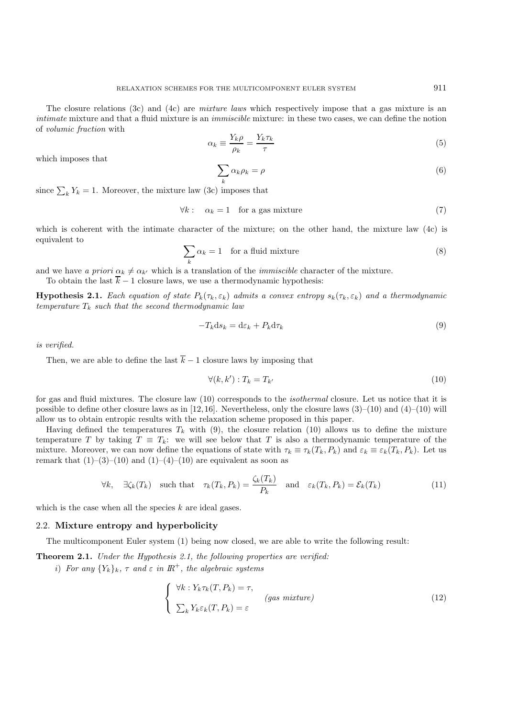The closure relations (3c) and (4c) are *mixture laws* which respectively impose that a gas mixture is an *intimate* mixture and that a fluid mixture is an *immiscible* mixture: in these two cases, we can define the notion of *volumic fraction* with

$$
\alpha_k \equiv \frac{Y_k \rho}{\rho_k} = \frac{Y_k \tau_k}{\tau} \tag{5}
$$

which imposes that

$$
\sum_{k} \alpha_{k} \rho_{k} = \rho \tag{6}
$$

since  $\sum_k Y_k = 1$ . Moreover, the mixture law (3c) imposes that

$$
\forall k: \quad \alpha_k = 1 \quad \text{for a gas mixture} \tag{7}
$$

which is coherent with the intimate character of the mixture; on the other hand, the mixture law (4c) is equivalent to

$$
\sum_{k} \alpha_k = 1 \quad \text{for a fluid mixture} \tag{8}
$$

and we have *a priori*  $\alpha_k \neq \alpha_{k'}$  which is a translation of the *immiscible* character of the mixture.

To obtain the last  $\overline{k}$  − 1 closure laws, we use a thermodynamic hypothesis:

**Hypothesis 2.1.** *Each equation of state*  $P_k(\tau_k, \varepsilon_k)$  *admits a convex entropy*  $s_k(\tau_k, \varepsilon_k)$  *and a thermodynamic temperature*  $T_k$  *such that the second thermodynamic law* 

$$
-T_k \mathrm{d} s_k = \mathrm{d} \varepsilon_k + P_k \mathrm{d} \tau_k \tag{9}
$$

*is verified.*

Then, we are able to define the last  $\overline{k}$  − 1 closure laws by imposing that

$$
\forall (k, k') : T_k = T_{k'} \tag{10}
$$

for gas and fluid mixtures. The closure law (10) corresponds to the *isothermal* closure. Let us notice that it is possible to define other closure laws as in [12, 16]. Nevertheless, only the closure laws  $(3)-(10)$  and  $(4)-(10)$  will allow us to obtain entropic results with the relaxation scheme proposed in this paper.

Having defined the temperatures  $T_k$  with (9), the closure relation (10) allows us to define the mixture temperature T by taking  $T \equiv T_k$ : we will see below that T is also a thermodynamic temperature of the mixture. Moreover, we can now define the equations of state with  $\tau_k \equiv \tau_k(T_k, P_k)$  and  $\varepsilon_k \equiv \varepsilon_k(T_k, P_k)$ . Let us remark that  $(1)$ – $(3)$ – $(10)$  and  $(1)$ – $(4)$ – $(10)$  are equivalent as soon as

$$
\forall k, \quad \exists \zeta_k(T_k) \quad \text{such that} \quad \tau_k(T_k, P_k) = \frac{\zeta_k(T_k)}{P_k} \quad \text{and} \quad \varepsilon_k(T_k, P_k) = \mathcal{E}_k(T_k) \tag{11}
$$

which is the case when all the species  $k$  are ideal gases.

### 2.2. **Mixture entropy and hyperbolicity**

The multicomponent Euler system (1) being now closed, we are able to write the following result:

**Theorem 2.1.** *Under the Hypothesis 2.1, the following properties are verified:*

*i*) *For any*  ${Y_k}_k$ ,  $\tau$  *and*  $\varepsilon$  *in*  $\mathbb{R}^+$ *, the algebraic systems* 

$$
\begin{cases} \forall k : Y_k \tau_k(T, P_k) = \tau, \\ \sum_k Y_k \varepsilon_k(T, P_k) = \varepsilon \end{cases} \quad (gas mixture)
$$
 (12)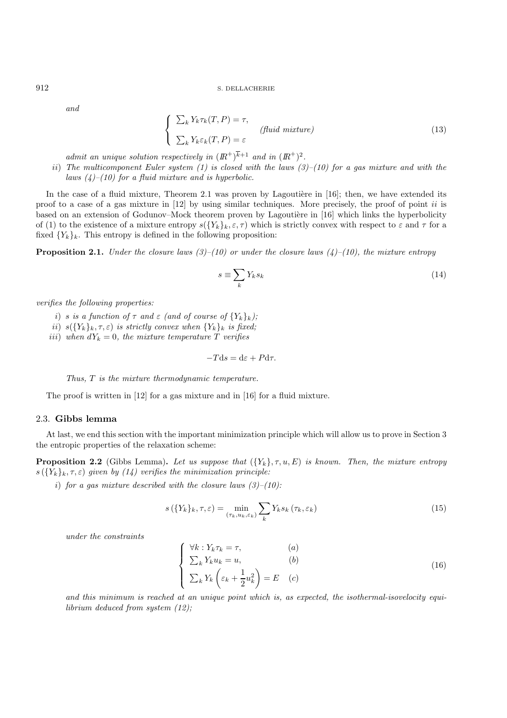*and*

$$
\begin{cases}\n\sum_{k} Y_{k} \tau_{k}(T, P) = \tau, \n\sum_{k} Y_{k} \varepsilon_{k}(T, P) = \varepsilon\n\end{cases}
$$
\n
$$
(13)
$$

*admit an unique solution respectively in*  $\left(R^{+}\right)^{\overline{k}+1}$  *and in*  $\left(R^{+}\right)^{2}$ *.* 

ii) *The multicomponent Euler system (1) is closed with the laws (3)–(10) for a gas mixture and with the laws (4)–(10) for a fluid mixture and is hyperbolic.*

In the case of a fluid mixture, Theorem 2.1 was proven by Lagoutière in  $[16]$ ; then, we have extended its proof to a case of a gas mixture in [12] by using similar techniques. More precisely, the proof of point ii is based on an extension of Godunov–Mock theorem proven by Lagoutière in [16] which links the hyperbolicity of (1) to the existence of a mixture entropy  $s({Y_k}_k,\varepsilon,\tau)$  which is strictly convex with respect to  $\varepsilon$  and  $\tau$  for a fixed  ${Y_k}_k$ . This entropy is defined in the following proposition:

**Proposition 2.1.** *Under the closure laws (3)–(10) or under the closure laws (4)–(10), the mixture entropy*

$$
s \equiv \sum_{k} Y_{k} s_{k} \tag{14}
$$

*verifies the following properties:*

- i) s is a function of  $\tau$  and  $\varepsilon$  (and of course of  $\{Y_k\}_k$ );
- ii)  $s({Y_k}_k, \tau, \varepsilon)$  *is strictly convex when*  ${Y_k}_k$  *is fixed;*
- iii) when  $dY_k = 0$ , the mixture temperature T verifies

$$
-T\mathrm{d}s = \mathrm{d}\varepsilon + P\mathrm{d}\tau.
$$

*Thus,* T *is the mixture thermodynamic temperature.*

The proof is written in [12] for a gas mixture and in [16] for a fluid mixture.

## 2.3. **Gibbs lemma**

At last, we end this section with the important minimization principle which will allow us to prove in Section 3 the entropic properties of the relaxation scheme:

**Proposition 2.2** (Gibbs Lemma). Let us suppose that  $(\{Y_k\}, \tau, u, E)$  is known. Then, the mixture entropy  $s(\lbrace Y_k \rbrace_k, \tau, \varepsilon)$  *given by (14) verifies the minimization principle:* 

i) *for a gas mixture described with the closure laws (3)–(10):*

$$
s\left(\{Y_k\}_k, \tau, \varepsilon\right) = \min_{\left(\tau_k, u_k, \varepsilon_k\right)} \sum_k Y_k s_k\left(\tau_k, \varepsilon_k\right) \tag{15}
$$

*under the constraints*

$$
\begin{cases}\n\forall k: Y_k \tau_k = \tau, & (a) \\
\sum_k Y_k u_k = u, & (b) \\
\sum_k Y_k \left(\varepsilon_k + \frac{1}{2} u_k^2\right) = E & (c)\n\end{cases}
$$
\n(16)

*and this minimum is reached at an unique point which is, as expected, the isothermal-isovelocity equilibrium deduced from system (12);*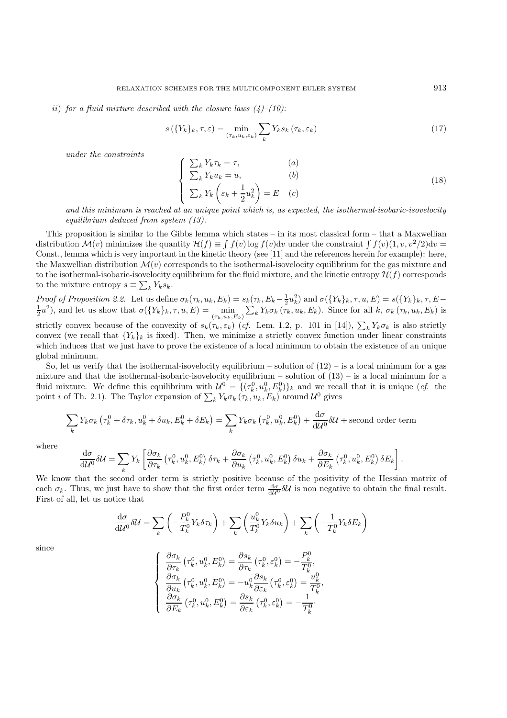#### ii) *for a fluid mixture described with the closure laws (4)–(10):*

$$
s\left(\{Y_k\}_k, \tau, \varepsilon\right) = \min_{\left(\tau_k, u_k, \varepsilon_k\right)} \sum_k Y_k s_k\left(\tau_k, \varepsilon_k\right) \tag{17}
$$

*under the constraints*

$$
\begin{cases}\n\sum_{k} Y_{k} \tau_{k} = \tau, & (a) \\
\sum_{k} Y_{k} u_{k} = u, & (b) \\
\sum_{k} Y_{k} \left( \varepsilon_{k} + \frac{1}{2} u_{k}^{2} \right) = E & (c)\n\end{cases}
$$
\n(18)

*and this minimum is reached at an unique point which is, as expected, the isothermal-isobaric-isovelocity equilibrium deduced from system (13).*

This proposition is similar to the Gibbs lemma which states – in its most classical form – that a Maxwellian distribution  $\mathcal{M}(v)$  minimizes the quantity  $\mathcal{H}(f) \equiv \int f(v) \log f(v) dv$  under the constraint  $\int f(v)(1, v, v^2/2) dv =$ Const., lemma which is very important in the kinetic theory (see [11] and the references herein for example): here, the Maxwellian distribution  $\mathcal{M}(v)$  corresponds to the isothermal-isovelocity equilibrium for the gas mixture and to the isothermal-isobaric-isovelocity equilibrium for the fluid mixture, and the kinetic entropy  $\mathcal{H}(f)$  corresponds to the mixture entropy  $s \equiv \sum_k Y_k s_k$ .

*Proof of Proposition 2.2.* Let us define  $\sigma_k(\tau_k, u_k, E_k) = s_k(\tau_k, E_k - \frac{1}{2}u_k^2)$  and  $\sigma(\{Y_k\}_k, \tau, u, E) = s(\{Y_k\}_k, \tau, E - \frac{1}{2}u_k^2)$  $(\frac{1}{2}u^2)$ , and let us show that  $\sigma({\{Y_k\}_k, \tau, u, E}) = \min_{(\tau_k, u_k, E_k)} \sum_k Y_k \sigma_k(\tau_k, u_k, E_k)$ . Since for all k,  $\sigma_k(\tau_k, u_k, E_k)$  is strictly convex because of the convexity of  $s_k(\tau_k, \varepsilon_k)$  (*cf.* Lem. 1.2, p. 101 in [14]),  $\sum_k Y_k \sigma_k$  is also strictly convex (we recall that  ${Y_k}_k$  is fixed). Then, we minimize a strictly convex function under linear constraints which induces that we just have to prove the existence of a local minimum to obtain the existence of an unique global minimum.

So, let us verify that the isothermal-isovelocity equilibrium – solution of  $(12)$  – is a local minimum for a gas mixture and that the isothermal-isobaric-isovelocity equilibrium – solution of  $(13)$  – is a local minimum for a fluid mixture. We define this equilibrium with  $\mathcal{U}^0 = \{(\tau_k^0, u_k^0, E_k^0)\}_k$  and we recall that it is unique (*cf.* the point *i* of Th. 2.1). The Taylor expansion of  $\sum_{k} Y_k \sigma_k (\tau_k, u_k, E_k)$  around  $\mathcal{U}^0$  gives

$$
\sum_{k} Y_{k} \sigma_{k} \left( \tau_{k}^{0} + \delta \tau_{k}, u_{k}^{0} + \delta u_{k}, E_{k}^{0} + \delta E_{k} \right) = \sum_{k} Y_{k} \sigma_{k} \left( \tau_{k}^{0}, u_{k}^{0}, E_{k}^{0} \right) + \frac{d\sigma}{d\mathcal{U}^{0}} \delta\mathcal{U} + \text{second order term}
$$

where

$$
\frac{\mathrm{d}\sigma}{\mathrm{d}\mathcal{U}^0}\delta\mathcal{U} = \sum_k Y_k \left[ \frac{\partial \sigma_k}{\partial \tau_k} \left( \tau_k^0, u_k^0, E_k^0 \right) \delta \tau_k + \frac{\partial \sigma_k}{\partial u_k} \left( \tau_k^0, u_k^0, E_k^0 \right) \delta u_k + \frac{\partial \sigma_k}{\partial E_k} \left( \tau_k^0, u_k^0, E_k^0 \right) \delta E_k \right].
$$

We know that the second order term is strictly positive because of the positivity of the Hessian matrix of each  $\sigma_k$ . Thus, we just have to show that the first order term  $\frac{d\sigma}{d\mathcal{U}^0} \delta \mathcal{U}$  is non negative to obtain the final result. First of all, let us notice that

$$
\frac{\mathrm{d}\sigma}{\mathrm{d}\mathcal{U}^0} \delta \mathcal{U} = \sum_k \left( -\frac{P_k^0}{T_k^0} Y_k \delta \tau_k \right) + \sum_k \left( \frac{u_k^0}{T_k^0} Y_k \delta u_k \right) + \sum_k \left( -\frac{1}{T_k^0} Y_k \delta E_k \right)
$$

since

$$
\begin{cases}\n\frac{\partial \sigma_k}{\partial \tau_k} (\tau_k^0, u_k^0, E_k^0) = \frac{\partial s_k}{\partial \tau_k} (\tau_k^0, \varepsilon_k^0) = -\frac{P_k^0}{T_k^0}, \\
\frac{\partial \sigma_k}{\partial u_k} (\tau_k^0, u_k^0, E_k^0) = -u_k^0 \frac{\partial s_k}{\partial \varepsilon_k} (\tau_k^0, \varepsilon_k^0) = \frac{u_k^0}{T_k^0}, \\
\frac{\partial \sigma_k}{\partial E_k} (\tau_k^0, u_k^0, E_k^0) = \frac{\partial s_k}{\partial \varepsilon_k} (\tau_k^0, \varepsilon_k^0) = -\frac{1}{T_k^0}.\n\end{cases}
$$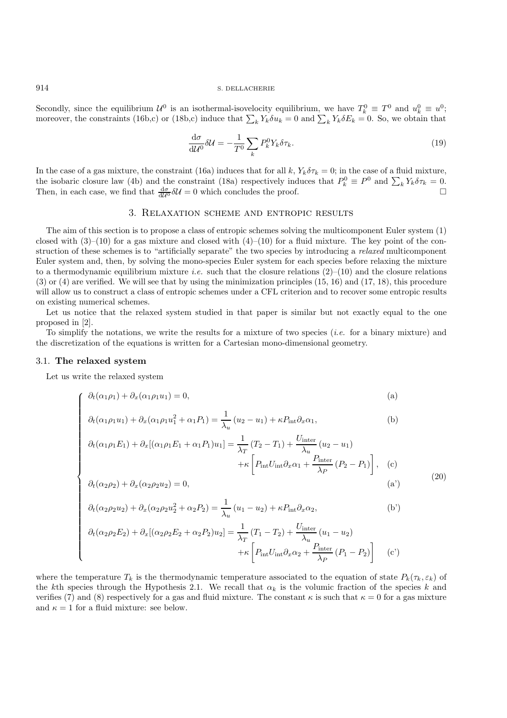Secondly, since the equilibrium  $\mathcal{U}^0$  is an isothermal-isovelocity equilibrium, we have  $T_k^0 \equiv T^0$  and  $u_k^0 \equiv u^0$ ; moreover, the constraints (16b,c) or (18b,c) induce that  $\sum_k Y_k \delta u_k = 0$  and  $\sum_k Y_k \delta E_k = 0$ . So, we obtain that

$$
\frac{\mathrm{d}\sigma}{\mathrm{d}\mathcal{U}^0} \delta \mathcal{U} = -\frac{1}{T^0} \sum_{k} P_k^0 Y_k \delta \tau_k. \tag{19}
$$

In the case of a gas mixture, the constraint (16a) induces that for all k,  $Y_k \delta \tau_k = 0$ ; in the case of a fluid mixture, the isobaric closure law (4b) and the constraint (18a) respectively induces that  $P_k^0 \equiv P^0$  and  $\sum_k Y_k \delta \tau_k = 0$ . Then, in each case, we find that  $\frac{d\sigma}{d\mathcal{U}^0} \delta \mathcal{U} = 0$  which concludes the proof.

## 3. Relaxation scheme and entropic results

The aim of this section is to propose a class of entropic schemes solving the multicomponent Euler system (1) closed with  $(3)$ – $(10)$  for a gas mixture and closed with  $(4)$ – $(10)$  for a fluid mixture. The key point of the construction of these schemes is to "artificially separate" the two species by introducing a *relaxed* multicomponent Euler system and, then, by solving the mono-species Euler system for each species before relaxing the mixture to a thermodynamic equilibrium mixture *i.e.* such that the closure relations  $(2)$ – $(10)$  and the closure relations (3) or (4) are verified. We will see that by using the minimization principles (15, 16) and (17, 18), this procedure will allow us to construct a class of entropic schemes under a CFL criterion and to recover some entropic results on existing numerical schemes.

Let us notice that the relaxed system studied in that paper is similar but not exactly equal to the one proposed in [2].

To simplify the notations, we write the results for a mixture of two species (*i.e.* for a binary mixture) and the discretization of the equations is written for a Cartesian mono-dimensional geometry.

#### 3.1. **The relaxed system**

Let us write the relaxed system

$$
\begin{cases}\n\partial_t(\alpha_1 \rho_1) + \partial_x(\alpha_1 \rho_1 u_1) = 0, & \text{(a)} \\
\partial_t(\alpha_1 \rho_1 u_1) + \partial_x(\alpha_1 \rho_1 u_1^2 + \alpha_1 P_1) = \frac{1}{\lambda_u} (u_2 - u_1) + \kappa P_{\text{int}} \partial_x \alpha_1, & \text{(b)} \\
\partial_t(\alpha_1 \rho_1 E_1) + \partial_x [(\alpha_1 \rho_1 E_1 + \alpha_1 P_1) u_1] = \frac{1}{\lambda_T} (T_2 - T_1) + \frac{U_{\text{inter}}}{\lambda_u} (u_2 - u_1) \\
+ \kappa \left[ P_{\text{int}} U_{\text{int}} \partial_x \alpha_1 + \frac{P_{\text{inter}}}{\lambda_P} (P_2 - P_1) \right], & \text{(c)}\n\end{cases}
$$

$$
\partial_t(\alpha_1 \rho_1 u_1) + \partial_x(\alpha_1 \rho_1 u_1^2 + \alpha_1 P_1) = \frac{1}{\lambda_u} (u_2 - u_1) + \kappa P_{\text{int}} \partial_x \alpha_1,
$$
 (b)

$$
\partial_t(\alpha_1 \rho_1 E_1) + \partial_x[(\alpha_1 \rho_1 E_1 + \alpha_1 P_1)u_1] = \frac{1}{\lambda_T} (T_2 - T_1) + \frac{U_{\text{inter}}}{\lambda_u} (u_2 - u_1)
$$

$$
+ \kappa \left[ P_{\text{int}} U_{\text{int}} \partial_x \alpha_1 + \frac{P_{\text{inter}}}{\lambda_P} (P_2 - P_1) \right], \quad (c)
$$
\n(20)

$$
\partial_t(\alpha_2\rho_2) + \partial_x(\alpha_2\rho_2 u_2) = 0,\tag{20}
$$

$$
\partial_t(\alpha_2 \rho_2 u_2) + \partial_x(\alpha_2 \rho_2 u_2^2 + \alpha_2 P_2) = \frac{1}{\lambda_u} (u_1 - u_2) + \kappa P_{\text{int}} \partial_x \alpha_2, \tag{b'}
$$

$$
\partial_t(\alpha_2 \rho_2 E_2) + \partial_x[(\alpha_2 \rho_2 E_2 + \alpha_2 P_2)u_2] = \frac{1}{\lambda_T} (T_1 - T_2) + \frac{U_{\text{inter}}}{\lambda_u} (u_1 - u_2)
$$

$$
+ \kappa \left[ P_{\text{int}} U_{\text{int}} \partial_x \alpha_2 + \frac{P_{\text{inter}}}{\lambda_P} (P_1 - P_2) \right] \quad (c')
$$

where the temperature  $T_k$  is the thermodynamic temperature associated to the equation of state  $P_k(\tau_k, \varepsilon_k)$  of the kth species through the Hypothesis 2.1. We recall that  $\alpha_k$  is the volumic fraction of the species k and verifies (7) and (8) respectively for a gas and fluid mixture. The constant  $\kappa$  is such that  $\kappa = 0$  for a gas mixture and  $\kappa = 1$  for a fluid mixture: see below.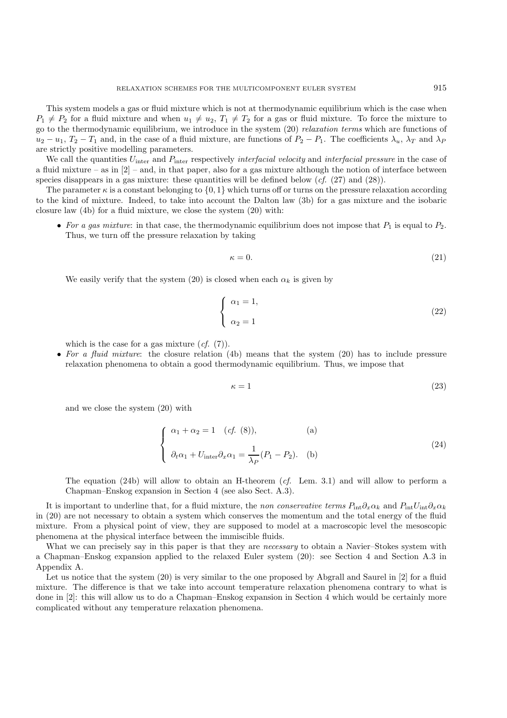This system models a gas or fluid mixture which is not at thermodynamic equilibrium which is the case when  $P_1 \neq P_2$  for a fluid mixture and when  $u_1 \neq u_2$ ,  $T_1 \neq T_2$  for a gas or fluid mixture. To force the mixture to go to the thermodynamic equilibrium, we introduce in the system (20) *relaxation terms* which are functions of  $u_2 - u_1$ ,  $T_2 - T_1$  and, in the case of a fluid mixture, are functions of  $P_2 - P_1$ . The coefficients  $\lambda_u$ ,  $\lambda_T$  and  $\lambda_P$ are strictly positive modelling parameters.

We call the quantities Uinter and Pinter respectively *interfacial velocity* and *interfacial pressure* in the case of a fluid mixture – as in  $[2]$  – and, in that paper, also for a gas mixture although the notion of interface between species disappears in a gas mixture: these quantities will be defined below (*cf.* (27) and (28)).

The parameter  $\kappa$  is a constant belonging to  $\{0, 1\}$  which turns off or turns on the pressure relaxation according to the kind of mixture. Indeed, to take into account the Dalton law (3b) for a gas mixture and the isobaric closure law (4b) for a fluid mixture, we close the system (20) with:

• For a gas mixture: in that case, the thermodynamic equilibrium does not impose that  $P_1$  is equal to  $P_2$ . Thus, we turn off the pressure relaxation by taking

$$
\kappa = 0.\tag{21}
$$

We easily verify that the system (20) is closed when each  $\alpha_k$  is given by

$$
\begin{cases}\n\alpha_1 = 1, \\
\alpha_2 = 1\n\end{cases}
$$
\n(22)

which is the case for a gas mixture  $(cf. (7))$ .

• *For a fluid mixture*: the closure relation (4b) means that the system (20) has to include pressure relaxation phenomena to obtain a good thermodynamic equilibrium. Thus, we impose that

$$
\kappa = 1 \tag{23}
$$

and we close the system (20) with

$$
\begin{cases}\n\alpha_1 + \alpha_2 = 1 & (cf. (8)), \\
\partial_t \alpha_1 + U_{\text{inter}} \partial_x \alpha_1 = \frac{1}{\lambda_P} (P_1 - P_2). \\
\end{cases}
$$
\n(24)

The equation (24b) will allow to obtain an H-theorem (*cf.* Lem. 3.1) and will allow to perform a Chapman–Enskog expansion in Section 4 (see also Sect. A.3).

It is important to underline that, for a fluid mixture, the *non conservative terms*  $P_{\text{int}}\partial_x\alpha_k$  and  $P_{\text{int}}U_{\text{int}}\partial_x\alpha_k$ in (20) are not necessary to obtain a system which conserves the momentum and the total energy of the fluid mixture. From a physical point of view, they are supposed to model at a macroscopic level the mesoscopic phenomena at the physical interface between the immiscible fluids.

What we can precisely say in this paper is that they are *necessary* to obtain a Navier–Stokes system with a Chapman–Enskog expansion applied to the relaxed Euler system (20): see Section 4 and Section A.3 in Appendix A.

Let us notice that the system (20) is very similar to the one proposed by Abgrall and Saurel in [2] for a fluid mixture. The difference is that we take into account temperature relaxation phenomena contrary to what is done in [2]: this will allow us to do a Chapman–Enskog expansion in Section 4 which would be certainly more complicated without any temperature relaxation phenomena.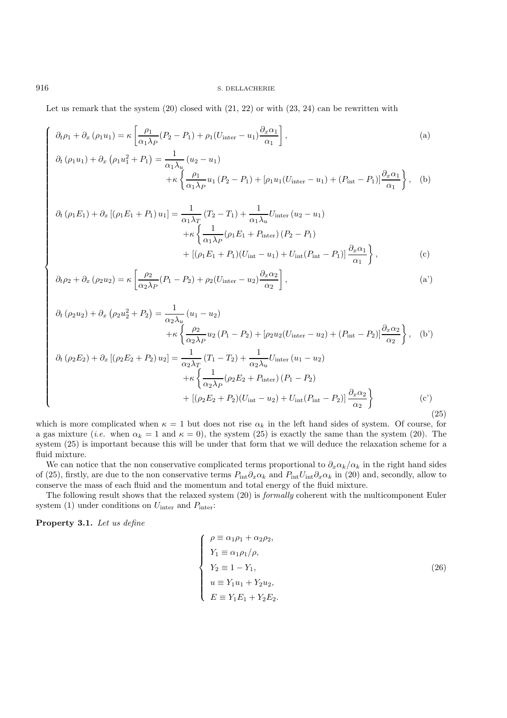Let us remark that the system  $(20)$  closed with  $(21, 22)$  or with  $(23, 24)$  can be rewritten with

$$
\partial_t \rho_1 + \partial_x (\rho_1 u_1) = \kappa \left[ \frac{\rho_1}{\alpha_1 \lambda_P} (P_2 - P_1) + \rho_1 (U_{\text{inter}} - u_1) \frac{\partial_x \alpha_1}{\alpha_1} \right],
$$
\n
$$
\partial_t (\rho_1 u_1) + \partial_x (\rho_1 u_1^2 + P_1) = \frac{1}{\lambda_P} (u_2 - u_1)
$$
\n(a)

$$
u_1 u_1 + \partial_x (\rho_1 u_1^2 + P_1) = \frac{1}{\alpha_1 \lambda_u} (u_2 - u_1) + \kappa \left\{ \frac{\rho_1}{\alpha_1 \lambda_P} u_1 (P_2 - P_1) + [\rho_1 u_1 (U_{\text{inter}} - u_1) + (P_{\text{int}} - P_1)] \frac{\partial_x \alpha_1}{\alpha_1} \right\}, \quad (b)
$$

$$
\partial_t (\rho_1 E_1) + \partial_x [(\rho_1 E_1 + P_1) u_1] = \frac{1}{\alpha_1 \lambda_T} (T_2 - T_1) + \frac{1}{\alpha_1 \lambda_u} U_{\text{inter}} (u_2 - u_1) \n+ \kappa \left\{ \frac{1}{\alpha_1 \lambda_P} (\rho_1 E_1 + P_{\text{inter}}) (P_2 - P_1) \n+ [(\rho_1 E_1 + P_1)(U_{\text{int}} - u_1) + U_{\text{int}} (P_{\text{int}} - P_1)] \frac{\partial_x \alpha_1}{\alpha_1} \right\},
$$
\n(c)

$$
\partial_t \rho_2 + \partial_x (\rho_2 u_2) = \kappa \left[ \frac{\rho_2}{\alpha_2 \lambda_P} (P_1 - P_2) + \rho_2 (U_{\text{inter}} - u_2) \frac{\partial_x \alpha_2}{\alpha_2} \right], \tag{a'}
$$

$$
\partial_{t} (\rho_{2} u_{2}) + \partial_{x} (\rho_{2} u_{2}^{2} + P_{2}) = \frac{1}{\alpha_{2} \lambda_{u}} (u_{1} - u_{2}) \n+ \kappa \left\{ \frac{\rho_{2}}{\alpha_{2} \lambda_{P}} u_{2} (P_{1} - P_{2}) + [\rho_{2} u_{2} (U_{\text{inter}} - u_{2}) + (P_{\text{int}} - P_{2})] \frac{\partial_{x} \alpha_{2}}{\alpha_{2}} \right\}, \quad (b') \n\partial_{t} (\rho_{2} E_{2}) + \partial_{x} [(\rho_{2} E_{2} + P_{2}) u_{2}] = \frac{1}{\alpha_{2} \lambda_{T}} (T_{1} - T_{2}) + \frac{1}{\alpha_{2} \lambda_{u}} U_{\text{inter}} (u_{1} - u_{2}) \n+ \kappa \left\{ \frac{1}{\alpha_{2} \lambda_{P}} (\rho_{2} E_{2} + P_{\text{inter}}) (P_{1} - P_{2}) \n+ [(\rho_{2} E_{2} + P_{2}) (U_{\text{int}} - u_{2}) + U_{\text{int}} (P_{\text{int}} - P_{2})] \frac{\partial_{x} \alpha_{2}}{\alpha_{2}} \right\}
$$
\n
$$
(c')
$$
\n(25)

which is more complicated when  $\kappa = 1$  but does not rise  $\alpha_k$  in the left hand sides of system. Of course, for a gas mixture (*i.e.* when  $\alpha_k = 1$  and  $\kappa = 0$ ), the system (25) is exactly the same than the system (20). The system (25) is important because this will be under that form that we will deduce the relaxation scheme for a fluid mixture.

We can notice that the non conservative complicated terms proportional to  $\partial_x \alpha_k/\alpha_k$  in the right hand sides of (25), firstly, are due to the non conservative terms  $P_{\text{int}}\partial_x\alpha_k$  and  $P_{\text{int}}U_{\text{int}}\partial_x\alpha_k$  in (20) and, secondly, allow to conserve the mass of each fluid and the momentum and total energy of the fluid mixture.

The following result shows that the relaxed system (20) is *formally* coherent with the multicomponent Euler system (1) under conditions on  $U_{\text{inter}}$  and  $P_{\text{inter}}$ :

**Property 3.1.** *Let us define*

$$
\begin{cases}\n\rho \equiv \alpha_1 \rho_1 + \alpha_2 \rho_2, \\
Y_1 \equiv \alpha_1 \rho_1 / \rho, \\
Y_2 \equiv 1 - Y_1, \\
u \equiv Y_1 u_1 + Y_2 u_2, \\
E \equiv Y_1 E_1 + Y_2 E_2.\n\end{cases}
$$
\n(26)

 $\sqrt{ }$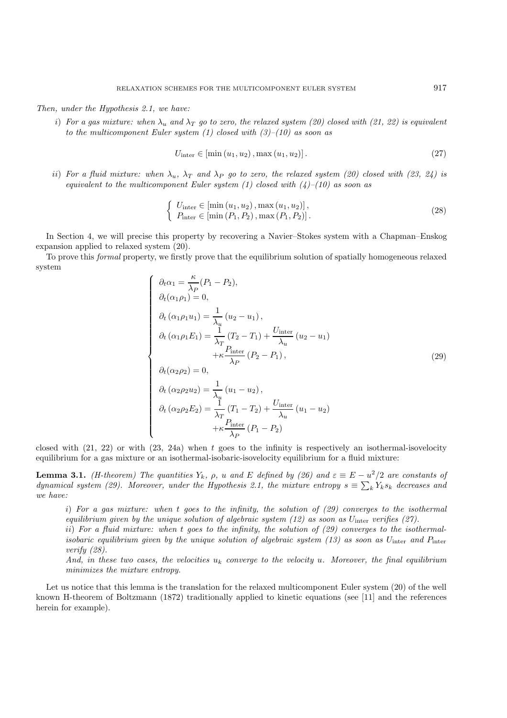*Then, under the Hypothesis 2.1, we have:*

i) For a gas mixture: when  $\lambda_u$  and  $\lambda_T$  go to zero, the relaxed system (20) closed with (21, 22) is equivalent *to the multicomponent Euler system (1) closed with (3)–(10) as soon as*

$$
U_{\text{inter}} \in \left[ \min\left(u_1, u_2\right), \max\left(u_1, u_2\right) \right].\tag{27}
$$

ii) For a fluid mixture: when  $\lambda_u$ ,  $\lambda_T$  and  $\lambda_P$  go to zero, the relaxed system (20) closed with (23, 24) is *equivalent to the multicomponent Euler system (1) closed with (4)–(10) as soon as*

$$
\begin{cases} U_{\text{inter}} \in [\min(u_1, u_2), \max(u_1, u_2)], \\ P_{\text{inter}} \in [\min(P_1, P_2), \max(P_1, P_2)]. \end{cases}
$$
\n(28)

In Section 4, we will precise this property by recovering a Navier–Stokes system with a Chapman–Enskog expansion applied to relaxed system (20).

To prove this *formal* property, we firstly prove that the equilibrium solution of spatially homogeneous relaxed system

$$
\begin{cases}\n\partial_t \alpha_1 = \frac{\kappa}{\lambda_P} (P_1 - P_2), \\
\partial_t (\alpha_1 \rho_1) = 0, \\
\partial_t (\alpha_1 \rho_1 u_1) = \frac{1}{\lambda_u} (u_2 - u_1), \\
\partial_t (\alpha_1 \rho_1 E_1) = \frac{1}{\lambda_T} (T_2 - T_1) + \frac{U_{\text{inter}}}{\lambda_u} (u_2 - u_1) \\
+ \kappa \frac{P_{\text{inter}}}{\lambda_P} (P_2 - P_1), \\
\partial_t (\alpha_2 \rho_2) = 0, \\
\partial_t (\alpha_2 \rho_2 u_2) = \frac{1}{\lambda_u} (u_1 - u_2), \\
\partial_t (\alpha_2 \rho_2 E_2) = \frac{1}{\lambda_T} (T_1 - T_2) + \frac{U_{\text{inter}}}{\lambda_u} (u_1 - u_2) \\
+ \kappa \frac{P_{\text{inter}}}{\lambda_P} (P_1 - P_2)\n\end{cases}
$$
\n(29)

closed with  $(21, 22)$  or with  $(23, 24a)$  when t goes to the infinity is respectively an isothermal-isovelocity equilibrium for a gas mixture or an isothermal-isobaric-isovelocity equilibrium for a fluid mixture:

**Lemma 3.1.** *(H-theorem)* The quantities  $Y_k$ ,  $\rho$ , u and E defined by (26) and  $\varepsilon \equiv E - u^2/2$  are constants of *dynamical system (29).* Moreover, under the Hypothesis 2.1, the mixture entropy  $s \equiv \sum_{k} Y_k s_k$  decreases and *we have:*

i) *For a gas mixture: when* t *goes to the infinity, the solution of (29) converges to the isothermal equilibrium given by the unique solution of algebraic system (12) as soon as* Uinter *verifies (27).*

ii) *For a fluid mixture: when* t *goes to the infinity, the solution of (29) converges to the isothermalisobaric equilibrium given by the unique solution of algebraic system (13) as soon as*  $U_{\text{inter}}$  and  $P_{\text{inter}}$ *verify (28).*

*And, in these two cases, the velocities* u<sup>k</sup> *converge to the velocity* u*. Moreover, the final equilibrium minimizes the mixture entropy.*

Let us notice that this lemma is the translation for the relaxed multicomponent Euler system (20) of the well known H-theorem of Boltzmann (1872) traditionally applied to kinetic equations (see [11] and the references herein for example).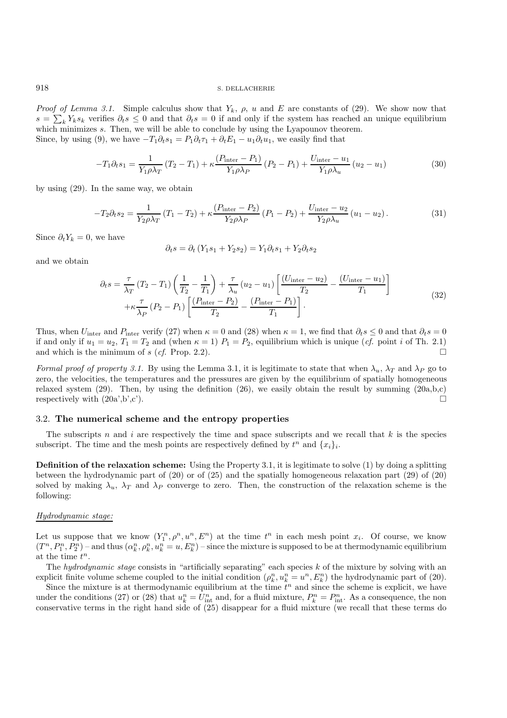*Proof of Lemma 3.1.* Simple calculus show that  $Y_k$ ,  $\rho$ , u and E are constants of (29). We show now that  $s = \sum_k Y_k s_k$  verifies  $\partial_t s \leq 0$  and that  $\partial_t s = 0$  if and only if the system has reached an unique equilibrium which minimizes s. Then, we will be able to conclude by using the Lyapounov theorem. Since, by using (9), we have  $-T_1\partial_t s_1 = P_1\partial_t \tau_1 + \partial_t E_1 - u_1\partial_t u_1$ , we easily find that

$$
-T_1 \partial_t s_1 = \frac{1}{Y_1 \rho \lambda_T} (T_2 - T_1) + \kappa \frac{(P_{\text{inter}} - P_1)}{Y_1 \rho \lambda_P} (P_2 - P_1) + \frac{U_{\text{inter}} - u_1}{Y_1 \rho \lambda_u} (u_2 - u_1)
$$
(30)

by using (29). In the same way, we obtain

$$
-T_2 \partial_t s_2 = \frac{1}{Y_2 \rho \lambda_T} (T_1 - T_2) + \kappa \frac{(P_{\text{inter}} - P_2)}{Y_2 \rho \lambda_P} (P_1 - P_2) + \frac{U_{\text{inter}} - u_2}{Y_2 \rho \lambda_u} (u_1 - u_2).
$$
 (31)

Since  $\partial_t Y_k = 0$ , we have

$$
\partial_t s = \partial_t (Y_1 s_1 + Y_2 s_2) = Y_1 \partial_t s_1 + Y_2 \partial_t s_2
$$

and we obtain

$$
\partial_t s = \frac{\tau}{\lambda_T} (T_2 - T_1) \left( \frac{1}{T_2} - \frac{1}{T_1} \right) + \frac{\tau}{\lambda_u} (u_2 - u_1) \left[ \frac{(U_{\text{inter}} - u_2)}{T_2} - \frac{(U_{\text{inter}} - u_1)}{T_1} \right] + \kappa \frac{\tau}{\lambda_P} (P_2 - P_1) \left[ \frac{(P_{\text{inter}} - P_2)}{T_2} - \frac{(P_{\text{inter}} - P_1)}{T_1} \right].
$$
\n(32)

Thus, when  $U_{\text{inter}}$  and  $P_{\text{inter}}$  verify (27) when  $\kappa = 0$  and (28) when  $\kappa = 1$ , we find that  $\partial_t s \leq 0$  and that  $\partial_t s = 0$ if and only if  $u_1 = u_2$ ,  $T_1 = T_2$  and (when  $\kappa = 1$ )  $P_1 = P_2$ , equilibrium which is unique (*cf.* point *i* of Th. 2.1) and which is the minimum of s (*cf.* Prop. 2.2).

*Formal proof of property 3.1.* By using the Lemma 3.1, it is legitimate to state that when  $\lambda_u$ ,  $\lambda_T$  and  $\lambda_P$  go to zero, the velocities, the temperatures and the pressures are given by the equilibrium of spatially homogeneous relaxed system (29). Then, by using the definition (26), we easily obtain the result by summing (20a,b,c) respectively with  $(20a',b',c')$ .

## 3.2. **The numerical scheme and the entropy properties**

The subscripts n and i are respectively the time and space subscripts and we recall that  $k$  is the species subscript. The time and the mesh points are respectively defined by  $t^n$  and  $\{x_i\}_i$ .

**Definition of the relaxation scheme:** Using the Property 3.1, it is legitimate to solve (1) by doing a splitting between the hydrodynamic part of (20) or of (25) and the spatially homogeneous relaxation part (29) of (20) solved by making  $\lambda_u$ ,  $\lambda_T$  and  $\lambda_P$  converge to zero. Then, the construction of the relaxation scheme is the following:

#### *Hydrodynamic stage:*

Let us suppose that we know  $(Y_1^n, \rho^n, u^n, E^n)$  at the time  $t^n$  in each mesh point  $x_i$ . Of course, we know  $(T^n, P_1^n, P_2^n)$  – and thus  $(\alpha_k^n, \rho_k^n, u_k^n = u, E_k^n)$  – since the mixture is supposed to be at thermodynamic equilibrium at the time  $t^n$ .

The *hydrodynamic stage* consists in "artificially separating" each species k of the mixture by solving with an explicit finite volume scheme coupled to the initial condition  $(\rho_k^n, u_k^n = u^n, E_k^n)$  the hydrodynamic part of (20).

Since the mixture is at thermodynamic equilibrium at the time  $t^n$  and since the scheme is explicit, we have under the conditions (27) or (28) that  $u_k^n = U_{\text{int}}^n$  and, for a fluid mixture,  $P_k^n = P_{\text{int}}^n$ . As a consequence, the non conservative terms in the right hand side of (25) disappear for a fluid mixture (we recall that these terms do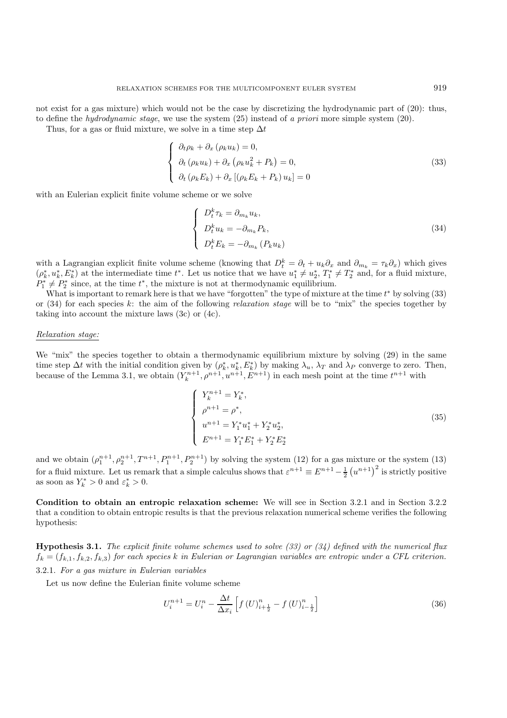not exist for a gas mixture) which would not be the case by discretizing the hydrodynamic part of (20): thus, to define the *hydrodynamic stage*, we use the system (25) instead of *a priori* more simple system (20).

Thus, for a gas or fluid mixture, we solve in a time step  $\Delta t$ 

$$
\begin{cases}\n\partial_t \rho_k + \partial_x (\rho_k u_k) = 0, \\
\partial_t (\rho_k u_k) + \partial_x (\rho_k u_k^2 + P_k) = 0, \\
\partial_t (\rho_k E_k) + \partial_x [(\rho_k E_k + P_k) u_k] = 0\n\end{cases}
$$
\n(33)

with an Eulerian explicit finite volume scheme or we solve

$$
\begin{cases}\nD_t^k \tau_k = \partial_{m_k} u_k, \\
D_t^k u_k = -\partial_{m_k} P_k, \\
D_t^k E_k = -\partial_{m_k} (P_k u_k)\n\end{cases} \tag{34}
$$

with a Lagrangian explicit finite volume scheme (knowing that  $D_t^k = \partial_t + u_k \partial_x$  and  $\partial_{m_k} = \tau_k \partial_x$ ) which gives  $(\rho_k^*, u_k^*, E_k^*)$  at the intermediate time  $t^*$ . Let us notice that we have  $u_1^* \neq u_2^*, T_1^* \neq T_2^*$  and, for a fluid mixture,  $P_1^* \neq P_2^*$  since, at the time  $t^*$ , the mixture is not at thermodynamic equilibrium.

What is important to remark here is that we have "forgotten" the type of mixture at the time  $t^*$  by solving  $(33)$ or (34) for each species k: the aim of the following *relaxation stage* will be to "mix" the species together by taking into account the mixture laws (3c) or (4c).

## *Relaxation stage:*

We "mix" the species together to obtain a thermodynamic equilibrium mixture by solving (29) in the same time step  $\Delta t$  with the initial condition given by  $(\rho_k^*, u_k^*, E_k^*)$  by making  $\lambda_u$ ,  $\lambda_T$  and  $\lambda_P$  converge to zero. Then, because of the Lemma 3.1, we obtain  $(Y_k^{n+1}, \rho^{n+1}, u^{n+1}, E^{n+1})$  in each mesh point at the time  $t^{n+1}$  with

$$
\begin{cases}\nY_k^{n+1} = Y_k^*, \\
\rho^{n+1} = \rho^*, \\
u^{n+1} = Y_1^* u_1^* + Y_2^* u_2^*, \\
E^{n+1} = Y_1^* E_1^* + Y_2^* E_2^* \n\end{cases} \tag{35}
$$

and we obtain  $(\rho_1^{n+1}, \rho_2^{n+1}, T^{n+1}, P_1^{n+1}, P_2^{n+1})$  by solving the system (12) for a gas mixture or the system (13) for a fluid mixture. Let us remark that a simple calculus shows that  $\varepsilon^{n+1} \equiv E^{n+1} - \frac{1}{2} (u^{n+1})^2$  is strictly positive as soon as  $Y_k^* > 0$  and  $\varepsilon_k^* > 0$ .

**Condition to obtain an entropic relaxation scheme:** We will see in Section 3.2.1 and in Section 3.2.2 that a condition to obtain entropic results is that the previous relaxation numerical scheme verifies the following hypothesis:

**Hypothesis 3.1.** *The explicit finite volume schemes used to solve (33) or (34) defined with the numerical flux*  $f_k = (f_{k,1}, f_{k,2}, f_{k,3})$  *for each species* k *in Eulerian or Lagrangian variables are entropic under a CFL criterion.* 3.2.1. *For a gas mixture in Eulerian variables*

Let us now define the Eulerian finite volume scheme

$$
U_i^{n+1} = U_i^n - \frac{\Delta t}{\Delta x_i} \left[ f(U)_{i+\frac{1}{2}}^n - f(U)_{i-\frac{1}{2}}^n \right]
$$
 (36)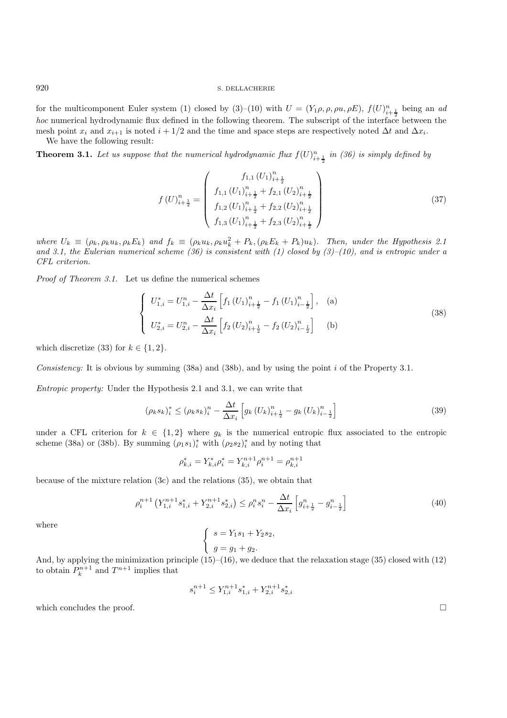for the multicomponent Euler system (1) closed by (3)–(10) with  $U = (Y_1 \rho, \rho, \rho u, \rho E), f(U)_{i+\frac{1}{2}}^n$  being an *ad hoc* numerical hydrodynamic flux defined in the following theorem. The subscript of the interface between the mesh point  $x_i$  and  $x_{i+1}$  is noted  $i + 1/2$  and the time and space steps are respectively noted  $\Delta t$  and  $\Delta x_i$ .

We have the following result:

**Theorem 3.1.** Let us suppose that the numerical hydrodynamic flux  $f(U)_{i+\frac{1}{2}}^n$  in (36) is simply defined by

$$
f(U)_{i+\frac{1}{2}}^{n} = \begin{pmatrix} f_{1,1} (U_1)_{i+\frac{1}{2}}^{n} \\ f_{1,1} (U_1)_{i+\frac{1}{2}}^{n} + f_{2,1} (U_2)_{i+\frac{1}{2}}^{n} \\ f_{1,2} (U_1)_{i+\frac{1}{2}}^{n} + f_{2,2} (U_2)_{i+\frac{1}{2}}^{n} \\ f_{1,3} (U_1)_{i+\frac{1}{2}}^{n} + f_{2,3} (U_2)_{i+\frac{1}{2}}^{n} \end{pmatrix}
$$
\n(37)

*where*  $U_k \equiv (\rho_k, \rho_k u_k, \rho_k E_k)$  *and*  $f_k \equiv (\rho_k u_k, \rho_k u_k^2 + P_k, (\rho_k E_k + P_k) u_k)$ *. Then, under the Hypothesis 2.1 and 3.1, the Eulerian numerical scheme (36) is consistent with (1) closed by (3)–(10), and is entropic under a CFL criterion.*

*Proof of Theorem 3.1.* Let us define the numerical schemes

$$
\begin{cases}\nU_{1,i}^* = U_{1,i}^n - \frac{\Delta t}{\Delta x_i} \left[ f_1 \left( U_1 \right)_{i+\frac{1}{2}}^n - f_1 \left( U_1 \right)_{i-\frac{1}{2}}^n \right], \quad \text{(a)}\\
U_{2,i}^* = U_{2,i}^n - \frac{\Delta t}{\Delta x_i} \left[ f_2 \left( U_2 \right)_{i+\frac{1}{2}}^n - f_2 \left( U_2 \right)_{i-\frac{1}{2}}^n \right] \quad \text{(b)}\n\end{cases} \tag{38}
$$

which discretize (33) for  $k \in \{1, 2\}$ .

*Consistency:* It is obvious by summing (38a) and (38b), and by using the point i of the Property 3.1.

*Entropic property:* Under the Hypothesis 2.1 and 3.1, we can write that

$$
(\rho_k s_k)_i^* \le (\rho_k s_k)_i^n - \frac{\Delta t}{\Delta x_i} \left[ g_k \left( U_k \right)_{i+\frac{1}{2}}^n - g_k \left( U_k \right)_{i-\frac{1}{2}}^n \right] \tag{39}
$$

under a CFL criterion for  $k \in \{1,2\}$  where  $g_k$  is the numerical entropic flux associated to the entropic scheme (38a) or (38b). By summing  $(\rho_1 s_1)_i^*$  with  $(\rho_2 s_2)_i^*$  and by noting that

$$
\rho^*_{k,i}=Y^*_{k,i}\rho^*_i=Y^{n+1}_{k,i}\rho^{n+1}_i=\rho^{n+1}_{k,i}
$$

because of the mixture relation (3c) and the relations (35), we obtain that

$$
\rho_i^{n+1} \left( Y_{1,i}^{n+1} s_{1,i}^* + Y_{2,i}^{n+1} s_{2,i}^* \right) \le \rho_i^n s_i^n - \frac{\Delta t}{\Delta x_i} \left[ g_{i+\frac{1}{2}}^n - g_{i-\frac{1}{2}}^n \right] \tag{40}
$$

where

$$
\begin{cases}\ns = Y_1s_1 + Y_2s_2, \\
g = g_1 + g_2.\n\end{cases}
$$

And, by applying the minimization principle  $(15)$ – $(16)$ , we deduce that the relaxation stage (35) closed with  $(12)$ to obtain  $P_k^{n+1}$  and  $T^{n+1}$  implies that

$$
s_i^{n+1} \le Y_{1,i}^{n+1} s_{1,i}^* + Y_{2,i}^{n+1} s_{2,i}^*
$$

which concludes the proof.  $\Box$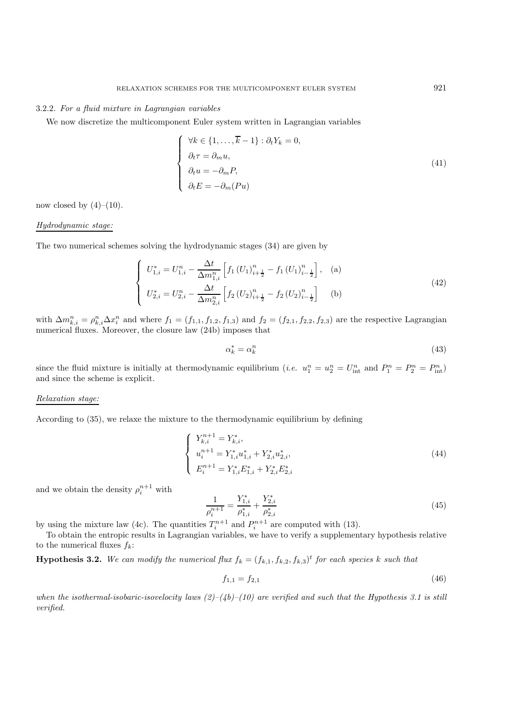## 3.2.2. *For a fluid mixture in Lagrangian variables*

We now discretize the multicomponent Euler system written in Lagrangian variables

$$
\begin{cases}\n\forall k \in \{1, ..., \overline{k} - 1\} : \partial_t Y_k = 0, \\
\partial_t \tau = \partial_m u, \\
\partial_t u = -\partial_m P, \\
\partial_t E = -\partial_m (Pu)\n\end{cases}
$$
\n(41)

now closed by  $(4)-(10)$ .

#### *Hydrodynamic stage:*

The two numerical schemes solving the hydrodynamic stages (34) are given by

$$
\begin{cases}\nU_{1,i}^{*} = U_{1,i}^{n} - \frac{\Delta t}{\Delta m_{1,i}^{n}} \left[ f_1 \left( U_1 \right)_{i+\frac{1}{2}}^{n} - f_1 \left( U_1 \right)_{i-\frac{1}{2}}^{n} \right], & \text{(a)} \\
U_{2,i}^{*} = U_{2,i}^{n} - \frac{\Delta t}{\Delta m_{2,i}^{n}} \left[ f_2 \left( U_2 \right)_{i+\frac{1}{2}}^{n} - f_2 \left( U_2 \right)_{i-\frac{1}{2}}^{n} \right] & \text{(b)}\n\end{cases}
$$
\n
$$
(42)
$$

with  $\Delta m_{k,i}^n = \rho_{k,i}^n \Delta x_i^n$  and where  $f_1 = (f_{1,1}, f_{1,2}, f_{1,3})$  and  $f_2 = (f_{2,1}, f_{2,2}, f_{2,3})$  are the respective Lagrangian numerical fluxes. Moreover, the closure law (24b) imposes that

$$
\alpha_k^* = \alpha_k^n \tag{43}
$$

since the fluid mixture is initially at thermodynamic equilibrium (*i.e.*  $u_1^n = u_2^n = U_{\text{int}}^n$  and  $P_1^n = P_2^n = P_{\text{int}}^n$ ) and since the scheme is explicit.

#### *Relaxation stage:*

According to (35), we relaxe the mixture to the thermodynamic equilibrium by defining

$$
\begin{cases}\nY_{k,i}^{n+1} = Y_{k,i}^*, \\
u_i^{n+1} = Y_{1,i}^* u_{1,i}^* + Y_{2,i}^* u_{2,i}^*, \\
E_i^{n+1} = Y_{1,i}^* E_{1,i}^* + Y_{2,i}^* E_{2,i}^* \n\end{cases} \tag{44}
$$

and we obtain the density  $\rho_i^{n+1}$  with

$$
\frac{1}{\rho_i^{n+1}} = \frac{Y_{1,i}^*}{\rho_{1,i}^*} + \frac{Y_{2,i}^*}{\rho_{2,i}^*}
$$
(45)

by using the mixture law (4c). The quantities  $T_i^{n+1}$  and  $P_i^{n+1}$  are computed with (13).

To obtain the entropic results in Lagrangian variables, we have to verify a supplementary hypothesis relative to the numerical fluxes  $f_k$ :

**Hypothesis 3.2.** We can modify the numerical flux  $f_k = (f_{k,1}, f_{k,2}, f_{k,3})^t$  for each species k such that

$$
f_{1,1} = f_{2,1} \tag{46}
$$

when the isothermal-isobaric-isovelocity laws  $(2)-(4b)-(10)$  are verified and such that the Hypothesis 3.1 is still *verified.*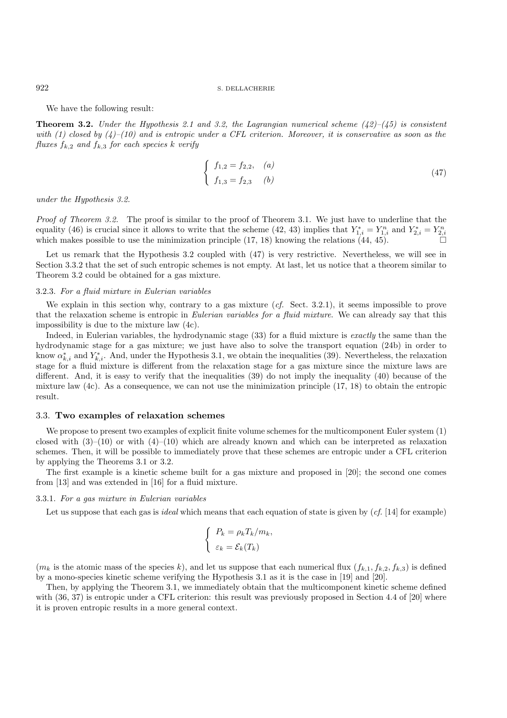We have the following result:

**Theorem 3.2.** *Under the Hypothesis 2.1 and 3.2, the Lagrangian numerical scheme (42)–(45) is consistent with (1) closed by (4)–(10) and is entropic under a CFL criterion. Moreover, it is conservative as soon as the fluxes*  $f_{k,2}$  *and*  $f_{k,3}$  *for each species* k *verify* 

$$
\begin{cases}\nf_{1,2} = f_{2,2}, & (a) \\
f_{1,3} = f_{2,3} & (b)\n\end{cases}
$$
\n(47)

*under the Hypothesis 3.2.*

*Proof of Theorem 3.2.* The proof is similar to the proof of Theorem 3.1. We just have to underline that the equality (46) is crucial since it allows to write that the scheme (42, 43) implies that  $Y_{1,i}^* = Y_{1,i}^n$  and  $Y_{2,i}^* = Y_{2,i}^n$ which makes possible to use the minimization principle  $(17, 18)$  knowing the relations  $(44, 45)$ .

Let us remark that the Hypothesis 3.2 coupled with  $(47)$  is very restrictive. Nevertheless, we will see in Section 3.3.2 that the set of such entropic schemes is not empty. At last, let us notice that a theorem similar to Theorem 3.2 could be obtained for a gas mixture.

#### 3.2.3. *For a fluid mixture in Eulerian variables*

We explain in this section why, contrary to a gas mixture (*cf.* Sect. 3.2.1), it seems impossible to prove that the relaxation scheme is entropic in *Eulerian variables for a fluid mixture*. We can already say that this impossibility is due to the mixture law (4c).

Indeed, in Eulerian variables, the hydrodynamic stage (33) for a fluid mixture is *exactly* the same than the hydrodynamic stage for a gas mixture; we just have also to solve the transport equation (24b) in order to know  $\alpha_{k,i}^*$  and  $Y_{k,i}^*$ . And, under the Hypothesis 3.1, we obtain the inequalities (39). Nevertheless, the relaxation stage for a fluid mixture is different from the relaxation stage for a gas mixture since the mixture laws are different. And, it is easy to verify that the inequalities (39) do not imply the inequality (40) because of the mixture law  $(4c)$ . As a consequence, we can not use the minimization principle  $(17, 18)$  to obtain the entropic result.

#### 3.3. **Two examples of relaxation schemes**

We propose to present two examples of explicit finite volume schemes for the multicomponent Euler system (1) closed with  $(3)$ – $(10)$  or with  $(4)$ – $(10)$  which are already known and which can be interpreted as relaxation schemes. Then, it will be possible to immediately prove that these schemes are entropic under a CFL criterion by applying the Theorems 3.1 or 3.2.

The first example is a kinetic scheme built for a gas mixture and proposed in [20]; the second one comes from [13] and was extended in [16] for a fluid mixture.

#### 3.3.1. *For a gas mixture in Eulerian variables*

Let us suppose that each gas is *ideal* which means that each equation of state is given by (*cf.* [14] for example)

$$
\begin{cases}\nP_k = \rho_k T_k / m_k, \\
\varepsilon_k = \mathcal{E}_k(T_k)\n\end{cases}
$$

 $(m_k)$  is the atomic mass of the species k), and let us suppose that each numerical flux  $(f_{k,1}, f_{k,2}, f_{k,3})$  is defined by a mono-species kinetic scheme verifying the Hypothesis 3.1 as it is the case in [19] and [20].

Then, by applying the Theorem 3.1, we immediately obtain that the multicomponent kinetic scheme defined with (36, 37) is entropic under a CFL criterion: this result was previously proposed in Section 4.4 of [20] where it is proven entropic results in a more general context.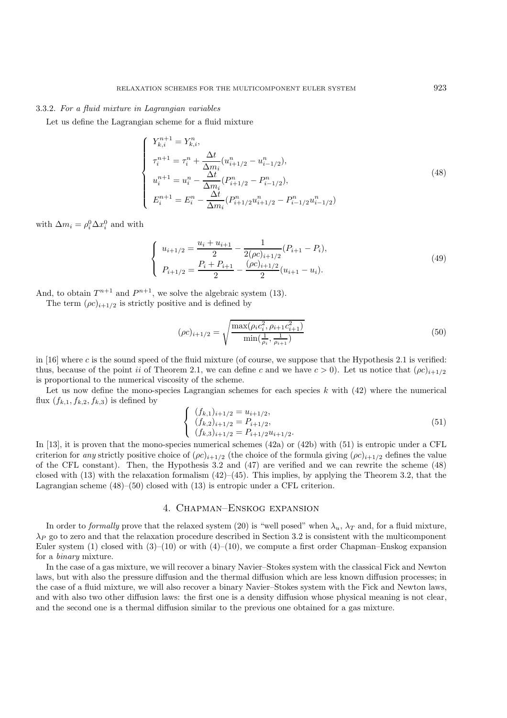#### 3.3.2. *For a fluid mixture in Lagrangian variables*

Let us define the Lagrangian scheme for a fluid mixture

$$
\begin{cases}\nY_{k,i}^{n+1} = Y_{k,i}^n, \\
\tau_i^{n+1} = \tau_i^n + \frac{\Delta t}{\Delta m_i} (u_{i+1/2}^n - u_{i-1/2}^n), \\
u_i^{n+1} = u_i^n - \frac{\Delta t}{\Delta m_i} (P_{i+1/2}^n - P_{i-1/2}^n), \\
E_i^{n+1} = E_i^n - \frac{\Delta t}{\Delta m_i} (P_{i+1/2}^n u_{i+1/2}^n - P_{i-1/2}^n u_{i-1/2}^n)\n\end{cases} \tag{48}
$$

with  $\Delta m_i = \rho_i^0 \Delta x_i^0$  and with

$$
\begin{cases}\nu_{i+1/2} = \frac{u_i + u_{i+1}}{2} - \frac{1}{2(\rho c)_{i+1/2}} (P_{i+1} - P_i),\\P_{i+1/2} = \frac{P_i + P_{i+1}}{2} - \frac{(\rho c)_{i+1/2}}{2} (u_{i+1} - u_i).\end{cases}
$$
\n(49)

And, to obtain  $T^{n+1}$  and  $P^{n+1}$ , we solve the algebraic system (13).

The term  $(\rho c)_{i+1/2}$  is strictly positive and is defined by

$$
(\rho c)_{i+1/2} = \sqrt{\frac{\max(\rho_i c_i^2, \rho_{i+1} c_{i+1}^2)}{\min(\frac{1}{\rho_i}, \frac{1}{\rho_{i+1}})}}
$$
(50)

in  $[16]$  where c is the sound speed of the fluid mixture (of course, we suppose that the Hypothesis 2.1 is verified: thus, because of the point ii of Theorem 2.1, we can define c and we have  $c > 0$ ). Let us notice that  $(\rho c)_{i+1/2}$ is proportional to the numerical viscosity of the scheme.

Let us now define the mono-species Lagrangian schemes for each species  $k$  with  $(42)$  where the numerical flux  $(f_{k,1}, f_{k,2}, f_{k,3})$  is defined by

$$
\begin{cases}\n(f_{k,1})_{i+1/2} = u_{i+1/2}, \n(f_{k,2})_{i+1/2} = P_{i+1/2}, \n(f_{k,3})_{i+1/2} = P_{i+1/2}u_{i+1/2}.\n\end{cases}
$$
\n(51)

In [13], it is proven that the mono-species numerical schemes (42a) or (42b) with (51) is entropic under a CFL criterion for *any* strictly positive choice of  $(\rho c)_{i+1/2}$  (the choice of the formula giving  $(\rho c)_{i+1/2}$  defines the value of the CFL constant). Then, the Hypothesis 3.2 and (47) are verified and we can rewrite the scheme (48) closed with  $(13)$  with the relaxation formalism  $(42)$ – $(45)$ . This implies, by applying the Theorem 3.2, that the Lagrangian scheme (48)–(50) closed with (13) is entropic under a CFL criterion.

## 4. Chapman–Enskog expansion

In order to *formally* prove that the relaxed system (20) is "well posed" when  $\lambda_u$ ,  $\lambda_T$  and, for a fluid mixture,  $\lambda_P$  go to zero and that the relaxation procedure described in Section 3.2 is consistent with the multicomponent Euler system (1) closed with  $(3)-(10)$  or with  $(4)-(10)$ , we compute a first order Chapman–Enskog expansion for a *binary* mixture.

In the case of a gas mixture, we will recover a binary Navier–Stokes system with the classical Fick and Newton laws, but with also the pressure diffusion and the thermal diffusion which are less known diffusion processes; in the case of a fluid mixture, we will also recover a binary Navier–Stokes system with the Fick and Newton laws, and with also two other diffusion laws: the first one is a density diffusion whose physical meaning is not clear, and the second one is a thermal diffusion similar to the previous one obtained for a gas mixture.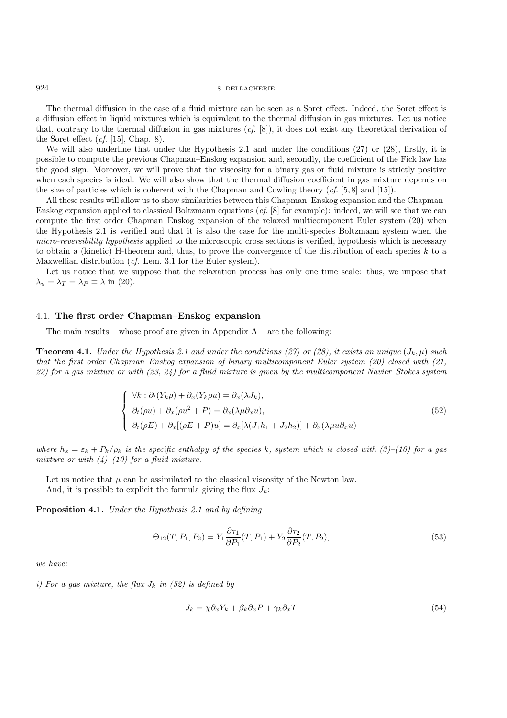The thermal diffusion in the case of a fluid mixture can be seen as a Soret effect. Indeed, the Soret effect is a diffusion effect in liquid mixtures which is equivalent to the thermal diffusion in gas mixtures. Let us notice that, contrary to the thermal diffusion in gas mixtures (*cf.* [8]), it does not exist any theoretical derivation of the Soret effect  $(cf. [15]$ , Chap. 8).

We will also underline that under the Hypothesis 2.1 and under the conditions (27) or (28), firstly, it is possible to compute the previous Chapman–Enskog expansion and, secondly, the coefficient of the Fick law has the good sign. Moreover, we will prove that the viscosity for a binary gas or fluid mixture is strictly positive when each species is ideal. We will also show that the thermal diffusion coefficient in gas mixture depends on the size of particles which is coherent with the Chapman and Cowling theory (*cf.* [5, 8] and [15]).

All these results will allow us to show similarities between this Chapman–Enskog expansion and the Chapman– Enskog expansion applied to classical Boltzmann equations (*cf.* [8] for example): indeed, we will see that we can compute the first order Chapman–Enskog expansion of the relaxed multicomponent Euler system (20) when the Hypothesis 2.1 is verified and that it is also the case for the multi-species Boltzmann system when the *micro-reversibility hypothesis* applied to the microscopic cross sections is verified, hypothesis which is necessary to obtain a (kinetic) H-theorem and, thus, to prove the convergence of the distribution of each species k to a Maxwellian distribution (*cf.* Lem. 3.1 for the Euler system).

Let us notice that we suppose that the relaxation process has only one time scale: thus, we impose that  $\lambda_u = \lambda_T = \lambda_P \equiv \lambda$  in (20).

## 4.1. **The first order Chapman–Enskog expansion**

The main results – whose proof are given in Appendix  $A$  – are the following:

**Theorem 4.1.** *Under the Hypothesis 2.1 and under the conditions (27) or (28), it exists an unique*  $(J_k, \mu)$  *such that the first order Chapman–Enskog expansion of binary multicomponent Euler system (20) closed with (21, 22) for a gas mixture or with (23, 24) for a fluid mixture is given by the multicomponent Navier–Stokes system*

$$
\begin{cases}\n\forall k : \partial_t (Y_k \rho) + \partial_x (Y_k \rho u) = \partial_x (\lambda J_k), \\
\partial_t (\rho u) + \partial_x (\rho u^2 + P) = \partial_x (\lambda \mu \partial_x u), \\
\partial_t (\rho E) + \partial_x [(\rho E + P) u] = \partial_x [\lambda (J_1 h_1 + J_2 h_2)] + \partial_x (\lambda \mu u \partial_x u)\n\end{cases}
$$
\n(52)

*where*  $h_k = \varepsilon_k + P_k/\rho_k$  *is the specific enthalpy of the species* k, system which is closed with (3)–(10) for a gas *mixture or with (4)–(10) for a fluid mixture.*

Let us notice that  $\mu$  can be assimilated to the classical viscosity of the Newton law. And, it is possible to explicit the formula giving the flux  $J_k$ :

**Proposition 4.1.** *Under the Hypothesis 2.1 and by defining*

$$
\Theta_{12}(T, P_1, P_2) = Y_1 \frac{\partial \tau_1}{\partial P_1}(T, P_1) + Y_2 \frac{\partial \tau_2}{\partial P_2}(T, P_2),\tag{53}
$$

*we have:*

*i)* For a gas mixture, the flux  $J_k$  in (52) is defined by

$$
J_k = \chi \partial_x Y_k + \beta_k \partial_x P + \gamma_k \partial_x T \tag{54}
$$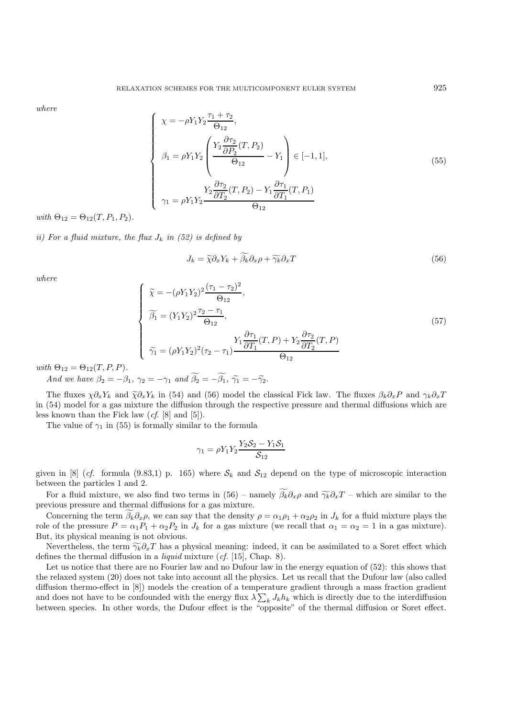*where*

$$
\begin{cases}\n\chi = -\rho Y_1 Y_2 \frac{\tau_1 + \tau_2}{\Theta_{12}}, \\
\beta_1 = \rho Y_1 Y_2 \left( \frac{Y_2 \frac{\partial \tau_2}{\partial P_2} (T, P_2)}{\Theta_{12}} - Y_1 \right) \in [-1, 1], \\
\gamma_1 = \rho Y_1 Y_2 \frac{\frac{\partial \tau_2}{\partial T_2} (T, P_2) - Y_1 \frac{\partial \tau_1}{\partial T_1} (T, P_1)}{\Theta_{12}}\n\end{cases}
$$
\n(55)

 $with \Theta_{12} = \Theta_{12}(T, P_1, P_2).$ 

*ii)* For a fluid mixture, the flux  $J_k$  in (52) is defined by

$$
J_k = \tilde{\chi}\partial_x Y_k + \tilde{\beta}_k \partial_x \rho + \tilde{\gamma}_k \partial_x T \tag{56}
$$

*where*

$$
\begin{cases}\n\tilde{\chi} = -(\rho Y_1 Y_2)^2 \frac{(\tau_1 - \tau_2)^2}{\Theta_{12}},\\ \n\tilde{\beta}_1 = (Y_1 Y_2)^2 \frac{\tau_2 - \tau_1}{\Theta_{12}},\\ \n\tilde{\gamma}_1 = (\rho Y_1 Y_2)^2 (\tau_2 - \tau_1) \frac{Y_1 \frac{\partial \tau_1}{\partial T_1} (T, P) + Y_2 \frac{\partial \tau_2}{\partial T_2} (T, P)}{\Theta_{12}}\n\end{cases}
$$
\n(57)

 $with \Theta_{12} = \Theta_{12}(T, P, P).$ 

*And we have*  $\beta_2 = -\beta_1$ ,  $\gamma_2 = -\gamma_1$  *and*  $\beta_2 = -\beta_1$ ,  $\tilde{\gamma_1} = -\tilde{\gamma_2}$ .

The fluxes  $\chi \partial_x Y_k$  and  $\tilde{\chi} \partial_x Y_k$  in (54) and (56) model the classical Fick law. The fluxes  $\beta_k \partial_x P$  and  $\gamma_k \partial_x T$ in (54) model for a gas mixture the diffusion through the respective pressure and thermal diffusions which are less known than the Fick law (*cf.* [8] and [5]).

The value of  $\gamma_1$  in (55) is formally similar to the formula

$$
\gamma_1 = \rho Y_1 Y_2 \frac{Y_2 S_2 - Y_1 S_1}{S_{12}}
$$

given in [8] (*cf.* formula (9.83,1) p. 165) where  $S_k$  and  $S_{12}$  depend on the type of microscopic interaction between the particles 1 and 2.

For a fluid mixture, we also find two terms in (56) – namely  $\beta_k \partial_x \rho$  and  $\widetilde{\gamma_k} \partial_x T$  – which are similar to the vious pressure and thermal diffusions for a gas mixture previous pressure and thermal diffusions for a gas mixture.

Concerning the term  $\beta_k \partial_x \rho$ , we can say that the density  $\rho = \alpha_1 \rho_1 + \alpha_2 \rho_2$  in  $J_k$  for a fluid mixture plays the role of the pressure  $P = \alpha_1 P_1 + \alpha_2 P_2$  in  $J_k$  for a gas mixture (we recall that  $\alpha_1 = \alpha_2 = 1$  in a gas mixture). But, its physical meaning is not obvious.

Nevertheless, the term  $\widetilde{\gamma_k}\partial_x T$  has a physical meaning: indeed, it can be assimilated to a Soret effect which defines the thermal diffusion in a *liquid* mixture (*cf.* [15], Chap. 8).

Let us notice that there are no Fourier law and no Dufour law in the energy equation of (52): this shows that the relaxed system (20) does not take into account all the physics. Let us recall that the Dufour law (also called diffusion thermo-effect in [8]) models the creation of a temperature gradient through a mass fraction gradient and does not have to be confounded with the energy flux  $\lambda \sum_k J_k h_k$  which is directly due to the interdiffusion between species. In other words, the Dufour effect is the "opposite" of the thermal diffusion or Soret effect.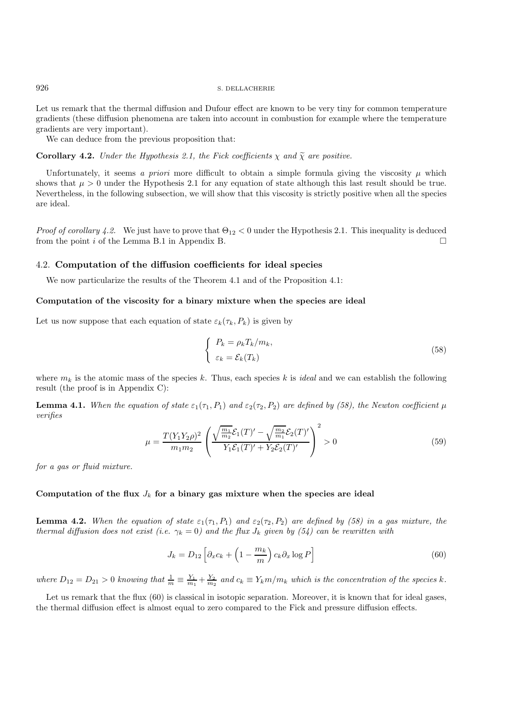Let us remark that the thermal diffusion and Dufour effect are known to be very tiny for common temperature gradients (these diffusion phenomena are taken into account in combustion for example where the temperature gradients are very important).

We can deduce from the previous proposition that:

**Corollary 4.2.** *Under the Hypothesis 2.1, the Fick coefficients*  $\chi$  *and*  $\tilde{\chi}$  *are positive.* 

Unfortunately, it seems *a priori* more difficult to obtain a simple formula giving the viscosity  $\mu$  which shows that  $\mu > 0$  under the Hypothesis 2.1 for any equation of state although this last result should be true. Nevertheless, in the following subsection, we will show that this viscosity is strictly positive when all the species are ideal.

*Proof of corollary 4.2.* We just have to prove that  $\Theta_{12} < 0$  under the Hypothesis 2.1. This inequality is deduced from the point i of the Lemma B.1 in Appendix B.

## 4.2. **Computation of the diffusion coefficients for ideal species**

We now particularize the results of the Theorem 4.1 and of the Proposition 4.1:

#### **Computation of the viscosity for a binary mixture when the species are ideal**

Let us now suppose that each equation of state  $\varepsilon_k(\tau_k, P_k)$  is given by

$$
\begin{cases}\nP_k = \rho_k T_k / m_k, \\
\varepsilon_k = \mathcal{E}_k (T_k)\n\end{cases} \tag{58}
$$

where  $m_k$  is the atomic mass of the species k. Thus, each species k is *ideal* and we can establish the following result (the proof is in Appendix C):

**Lemma 4.1.** *When the equation of state*  $\varepsilon_1(\tau_1, P_1)$  *and*  $\varepsilon_2(\tau_2, P_2)$  *are defined by (58), the Newton coefficient*  $\mu$ *verifies*

$$
\mu = \frac{T(Y_1 Y_2 \rho)^2}{m_1 m_2} \left( \frac{\sqrt{\frac{m_1}{m_2}} \mathcal{E}_1(T)' - \sqrt{\frac{m_2}{m_1}} \mathcal{E}_2(T)'}{Y_1 \mathcal{E}_1(T)' + Y_2 \mathcal{E}_2(T)'} \right)^2 > 0
$$
\n(59)

*for a gas or fluid mixture.*

## Computation of the flux  $J_k$  for a binary gas mixture when the species are ideal

**Lemma 4.2.** When the equation of state  $\varepsilon_1(\tau_1, P_1)$  and  $\varepsilon_2(\tau_2, P_2)$  are defined by (58) in a gas mixture, the *thermal diffusion does not exist (i.e.*  $\gamma_k = 0$ ) and the flux  $J_k$  given by (54) can be rewritten with

$$
J_k = D_{12} \left[ \partial_x c_k + \left( 1 - \frac{m_k}{m} \right) c_k \partial_x \log P \right]
$$
 (60)

where  $D_{12} = D_{21} > 0$  knowing that  $\frac{1}{m} \equiv \frac{Y_1}{m_1} + \frac{Y_2}{m_2}$  and  $c_k \equiv Y_k m/m_k$  which is the concentration of the species k.

Let us remark that the flux (60) is classical in isotopic separation. Moreover, it is known that for ideal gases, the thermal diffusion effect is almost equal to zero compared to the Fick and pressure diffusion effects.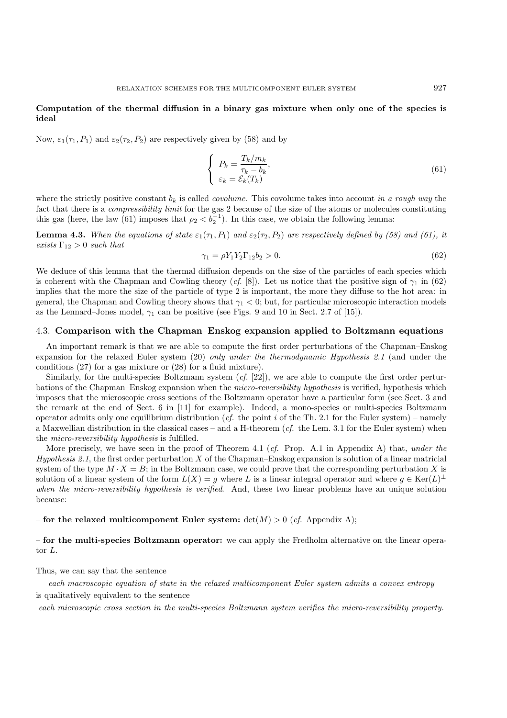## **Computation of the thermal diffusion in a binary gas mixture when only one of the species is ideal**

Now,  $\varepsilon_1(\tau_1, P_1)$  and  $\varepsilon_2(\tau_2, P_2)$  are respectively given by (58) and by

$$
\begin{cases}\nP_k = \frac{T_k/m_k}{\tau_k - b_k}, \\
\varepsilon_k = \mathcal{E}_k(T_k)\n\end{cases} (61)
$$

where the strictly positive constant  $b_k$  is called *covolume*. This covolume takes into account *in a rough way* the fact that there is a *compressibility limit* for the gas 2 because of the size of the atoms or molecules constituting this gas (here, the law (61) imposes that  $\rho_2 < \rho_2^{-1}$ ). In this case, we obtain the following lemma:

**Lemma 4.3.** *When the equations of state*  $\varepsilon_1(\tau_1, P_1)$  *and*  $\varepsilon_2(\tau_2, P_2)$  *are respectively defined by (58) and (61), it exists*  $\Gamma_{12} > 0$  *such that* 

$$
\gamma_1 = \rho Y_1 Y_2 \Gamma_{12} b_2 > 0. \tag{62}
$$

We deduce of this lemma that the thermal diffusion depends on the size of the particles of each species which is coherent with the Chapman and Cowling theory (*cf.* [8]). Let us notice that the positive sign of  $\gamma_1$  in (62) implies that the more the size of the particle of type 2 is important, the more they diffuse to the hot area: in general, the Chapman and Cowling theory shows that  $\gamma_1 < 0$ ; but, for particular microscopic interaction models as the Lennard–Jones model,  $\gamma_1$  can be positive (see Figs. 9 and 10 in Sect. 2.7 of [15]).

## 4.3. **Comparison with the Chapman–Enskog expansion applied to Boltzmann equations**

An important remark is that we are able to compute the first order perturbations of the Chapman–Enskog expansion for the relaxed Euler system (20) *only under the thermodynamic Hypothesis 2.1* (and under the conditions (27) for a gas mixture or (28) for a fluid mixture).

Similarly, for the multi-species Boltzmann system (*cf.* [22]), we are able to compute the first order perturbations of the Chapman–Enskog expansion when the *micro-reversibility hypothesis* is verified, hypothesis which imposes that the microscopic cross sections of the Boltzmann operator have a particular form (see Sect. 3 and the remark at the end of Sect. 6 in [11] for example). Indeed, a mono-species or multi-species Boltzmann operator admits only one equilibrium distribution (*cf.* the point i of the Th. 2.1 for the Euler system) – namely a Maxwellian distribution in the classical cases – and a H-theorem (*cf.* the Lem. 3.1 for the Euler system) when the *micro-reversibility hypothesis* is fulfilled.

More precisely, we have seen in the proof of Theorem 4.1 (*cf.* Prop. A.1 in Appendix A) that, *under the Hypothesis 2.1*, the first order perturbation X of the Chapman–Enskog expansion is solution of a linear matricial system of the type  $M \cdot X = B$ ; in the Boltzmann case, we could prove that the corresponding perturbation X is solution of a linear system of the form  $L(X) = g$  where L is a linear integral operator and where  $g \in \text{Ker}(L)^{\perp}$ *when the micro-reversibility hypothesis is verified*. And, these two linear problems have an unique solution because:

## – **for the relaxed multicomponent Euler system:**  $det(M) > 0$  (*cf.* Appendix A);

– **for the multi-species Boltzmann operator:** we can apply the Fredholm alternative on the linear operator L.

#### Thus, we can say that the sentence

*each macroscopic equation of state in the relaxed multicomponent Euler system admits a convex entropy* is qualitatively equivalent to the sentence

*each microscopic cross section in the multi-species Boltzmann system verifies the micro-reversibility property.*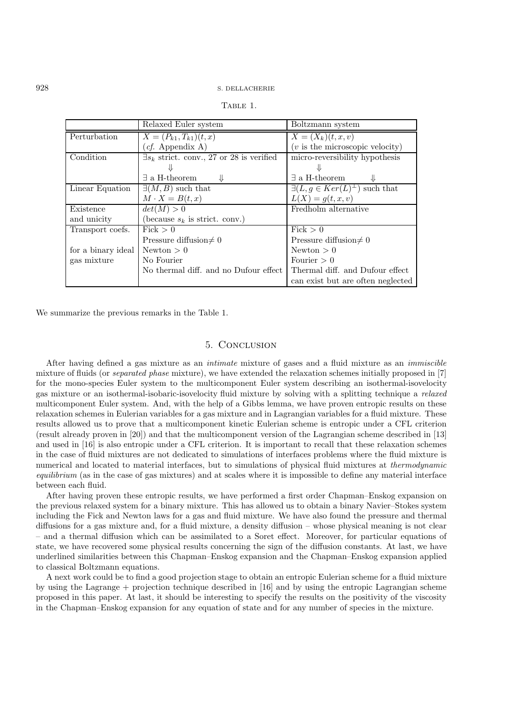| A BL |  |
|------|--|
|      |  |

|                    | Relaxed Euler system                              | Boltzmann system                              |
|--------------------|---------------------------------------------------|-----------------------------------------------|
| Perturbation       | $X = (P_{k1}, T_{k1})(t, x)$                      | $\overline{X} = (X_k)(t, x, v)$               |
|                    | (cf. Appendix A)                                  | $(v$ is the microscopic velocity)             |
| Condition          | $\exists s_k$ strict. conv., 27 or 28 is verified | micro-reversibility hypothesis                |
|                    |                                                   |                                               |
|                    | $\exists$ a H-theorem                             | $\exists$ a H-theorem                         |
| Linear Equation    | $\exists (M, B)$ such that                        | $\exists (L, g \in Ker(L)^{\perp})$ such that |
|                    | $M \cdot X = B(t, x)$                             | $L(X) = g(t, x, v)$                           |
| Existence          | det(M) > 0                                        | Fredholm alternative                          |
| and unicity        | (because $s_k$ is strict. conv.)                  |                                               |
| Transport coefs.   | Fick > 0                                          | $\overline{\text{Fick}}>0$                    |
|                    | Pressure diffusion $\neq 0$                       | Pressure diffusion $\neq 0$                   |
| for a binary ideal | Newton > 0                                        | Newton $> 0$                                  |
| gas mixture        | No Fourier                                        | Fourier $> 0$                                 |
|                    | No thermal diff. and no Dufour effect             | Thermal diff. and Dufour effect               |
|                    |                                                   | can exist but are often neglected             |

We summarize the previous remarks in the Table 1.

## 5. Conclusion

After having defined a gas mixture as an *intimate* mixture of gases and a fluid mixture as an *immiscible* mixture of fluids (or *separated phase* mixture), we have extended the relaxation schemes initially proposed in [7] for the mono-species Euler system to the multicomponent Euler system describing an isothermal-isovelocity gas mixture or an isothermal-isobaric-isovelocity fluid mixture by solving with a splitting technique a *relaxed* multicomponent Euler system. And, with the help of a Gibbs lemma, we have proven entropic results on these relaxation schemes in Eulerian variables for a gas mixture and in Lagrangian variables for a fluid mixture. These results allowed us to prove that a multicomponent kinetic Eulerian scheme is entropic under a CFL criterion (result already proven in [20]) and that the multicomponent version of the Lagrangian scheme described in [13] and used in [16] is also entropic under a CFL criterion. It is important to recall that these relaxation schemes in the case of fluid mixtures are not dedicated to simulations of interfaces problems where the fluid mixture is numerical and located to material interfaces, but to simulations of physical fluid mixtures at *thermodynamic equilibrium* (as in the case of gas mixtures) and at scales where it is impossible to define any material interface between each fluid.

After having proven these entropic results, we have performed a first order Chapman–Enskog expansion on the previous relaxed system for a binary mixture. This has allowed us to obtain a binary Navier–Stokes system including the Fick and Newton laws for a gas and fluid mixture. We have also found the pressure and thermal diffusions for a gas mixture and, for a fluid mixture, a density diffusion – whose physical meaning is not clear – and a thermal diffusion which can be assimilated to a Soret effect. Moreover, for particular equations of state, we have recovered some physical results concerning the sign of the diffusion constants. At last, we have underlined similarities between this Chapman–Enskog expansion and the Chapman–Enskog expansion applied to classical Boltzmann equations.

A next work could be to find a good projection stage to obtain an entropic Eulerian scheme for a fluid mixture by using the Lagrange + projection technique described in [16] and by using the entropic Lagrangian scheme proposed in this paper. At last, it should be interesting to specify the results on the positivity of the viscosity in the Chapman–Enskog expansion for any equation of state and for any number of species in the mixture.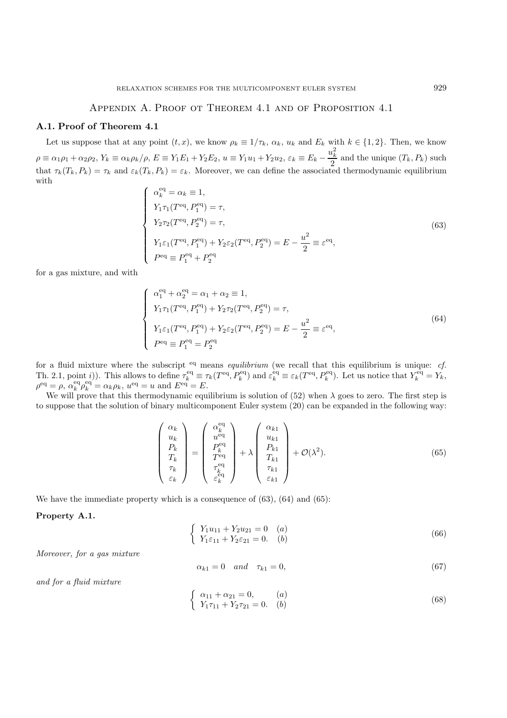## Appendix A. Proof ot Theorem 4.1 and of Proposition 4.1

## **A.1. Proof of Theorem 4.1**

Let us suppose that at any point  $(t, x)$ , we know  $\rho_k \equiv 1/\tau_k$ ,  $\alpha_k$ ,  $u_k$  and  $E_k$  with  $k \in \{1, 2\}$ . Then, we know  $\rho \equiv \alpha_1 \rho_1 + \alpha_2 \rho_2$ ,  $Y_k \equiv \alpha_k \rho_k / \rho$ ,  $E \equiv Y_1 E_1 + Y_2 E_2$ ,  $u \equiv Y_1 u_1 + Y_2 u_2$ ,  $\varepsilon_k \equiv E_k - \frac{u_k^2}{2}$  and the unique  $(T_k, P_k)$  such that  $\tau_k(T_k, P_k) = \tau_k$  and  $\varepsilon_k(T_k, P_k) = \varepsilon_k$ . Moreover, we can define the associated thermodynamic equilibrium with

$$
\begin{cases}\n\alpha_k^{\text{eq}} = \alpha_k \equiv 1, \\
Y_1 \tau_1 (T^{\text{eq}}, P_1^{\text{eq}}) = \tau, \\
Y_2 \tau_2 (T^{\text{eq}}, P_2^{\text{eq}}) = \tau, \\
Y_1 \varepsilon_1 (T^{\text{eq}}, P_1^{\text{eq}}) + Y_2 \varepsilon_2 (T^{\text{eq}}, P_2^{\text{eq}}) = E - \frac{u^2}{2} \equiv \varepsilon^{\text{eq}}, \\
P^{\text{eq}} \equiv P_1^{\text{eq}} + P_2^{\text{eq}}\n\end{cases} (63)
$$

for a gas mixture, and with

$$
\begin{cases}\n\alpha_1^{\text{eq}} + \alpha_2^{\text{eq}} = \alpha_1 + \alpha_2 \equiv 1, \\
Y_1 \tau_1 (T^{\text{eq}}, P_1^{\text{eq}}) + Y_2 \tau_2 (T^{\text{eq}}, P_2^{\text{eq}}) = \tau, \\
Y_1 \varepsilon_1 (T^{\text{eq}}, P_1^{\text{eq}}) + Y_2 \varepsilon_2 (T^{\text{eq}}, P_2^{\text{eq}}) = E - \frac{u^2}{2} \equiv \varepsilon^{\text{eq}}, \\
P^{\text{eq}} \equiv P_1^{\text{eq}} = P_2^{\text{eq}}\n\end{cases} \tag{64}
$$

for a fluid mixture where the subscript <sup>eq</sup> means *equilibrium* (we recall that this equilibrium is unique: *cf.* Th. 2.1, point *i*)). This allows to define  $\tau_k^{\text{eq}} \equiv \tau_k(T^{\text{eq}}, P_k^{\text{eq}})$  and  $\varepsilon_k^{\text{eq}} \equiv \varepsilon_k(T^{\text{eq}}, P_k^{\text{eq}})$ . Let us notice that  $Y_k^{\text{eq}} = Y_k$ ,  $\rho^{\text{eq}} = \rho$ ,  $\alpha_k^{\text{eq}} \rho_k^{\text{eq}} = \alpha_k \rho_k$ ,  $u^{\text{eq}} = u$  and  $E^{\text{eq}} =$ 

We will prove that this thermodynamic equilibrium is solution of (52) when  $\lambda$  goes to zero. The first step is to suppose that the solution of binary multicomponent Euler system (20) can be expanded in the following way:

$$
\begin{pmatrix}\n\alpha_k \\
u_k \\
P_k \\
T_k \\
\tau_k \\
\epsilon_k\n\end{pmatrix} = \begin{pmatrix}\n\alpha_k^{\text{eq}} \\
u^{\text{eq}} \\
P_k^{\text{eq}} \\
T^{\text{eq}} \\
\tau_k^{\text{eq}} \\
\epsilon_k^{\text{eq}} \\
\epsilon_k^{\text{eq}}\n\end{pmatrix} + \lambda \begin{pmatrix}\n\alpha_{k1} \\
u_{k1} \\
P_{k1} \\
T_{k1} \\
\tau_{k1} \\
\epsilon_{k1}\n\end{pmatrix} + \mathcal{O}(\lambda^2).
$$
\n(65)

We have the immediate property which is a consequence of (63), (64) and (65):

#### **Property A.1.**

$$
\begin{cases}\nY_1 u_{11} + Y_2 u_{21} = 0 & (a) \\
Y_1 \varepsilon_{11} + Y_2 \varepsilon_{21} = 0 & (b)\n\end{cases}
$$
\n(66)

*Moreover, for a gas mixture*

$$
\alpha_{k1} = 0 \quad and \quad \tau_{k1} = 0,\tag{67}
$$

*and for a fluid mixture*

$$
\begin{cases}\n\alpha_{11} + \alpha_{21} = 0, & (a) \\
Y_1 \tau_{11} + Y_2 \tau_{21} = 0. & (b)\n\end{cases}
$$
\n(68)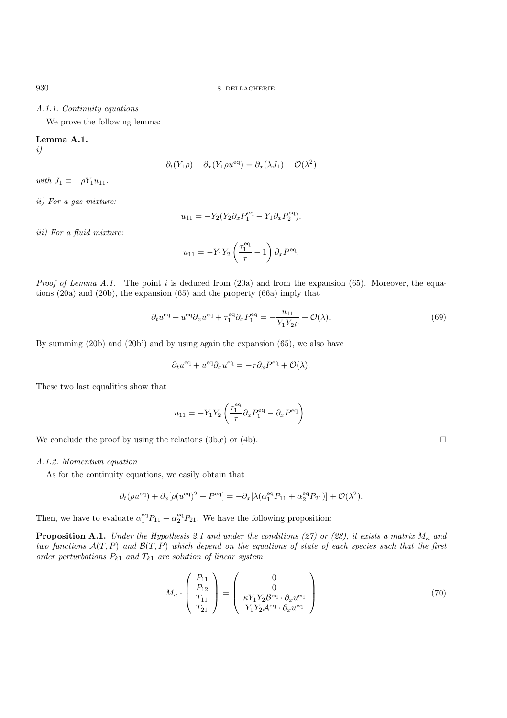## *A.1.1. Continuity equations*

We prove the following lemma:

## **Lemma A.1.**

*i)*

$$
\partial_t(Y_1\rho) + \partial_x(Y_1\rho u^{\text{eq}}) = \partial_x(\lambda J_1) + \mathcal{O}(\lambda^2)
$$

*with*  $J_1 \equiv -\rho Y_1 u_{11}$ .

*ii) For a gas mixture:*

$$
u_{11} = -Y_2(Y_2 \partial_x P_1^{\text{eq}} - Y_1 \partial_x P_2^{\text{eq}}).
$$

*iii) For a fluid mixture:*

$$
u_{11} = -Y_1 Y_2 \left(\frac{\tau_1^{\text{eq}}}{\tau} - 1\right) \partial_x P^{\text{eq}}.
$$

*Proof of Lemma A.1.* The point i is deduced from (20a) and from the expansion (65). Moreover, the equations (20a) and (20b), the expansion (65) and the property (66a) imply that

$$
\partial_t u^{\text{eq}} + u^{\text{eq}} \partial_x u^{\text{eq}} + \tau_1^{\text{eq}} \partial_x P_1^{\text{eq}} = -\frac{u_{11}}{Y_1 Y_2 \rho} + \mathcal{O}(\lambda). \tag{69}
$$

By summing (20b) and (20b') and by using again the expansion (65), we also have

$$
\partial_t u^{\text{eq}} + u^{\text{eq}} \partial_x u^{\text{eq}} = -\tau \partial_x P^{\text{eq}} + \mathcal{O}(\lambda).
$$

These two last equalities show that

$$
u_{11} = -Y_1 Y_2 \left( \frac{\tau_1^{\text{eq}}}{\tau} \partial_x P_1^{\text{eq}} - \partial_x P^{\text{eq}} \right).
$$

We conclude the proof by using the relations  $(3b,c)$  or  $(4b)$ .

*A.1.2. Momentum equation*

As for the continuity equations, we easily obtain that

$$
\partial_t(\rho u^{\text{eq}}) + \partial_x[\rho (u^{\text{eq}})^2 + P^{\text{eq}}] = -\partial_x[\lambda(\alpha_1^{\text{eq}} P_{11} + \alpha_2^{\text{eq}} P_{21})] + \mathcal{O}(\lambda^2).
$$

Then, we have to evaluate  $\alpha_1^{eq}P_{11} + \alpha_2^{eq}P_{21}$ . We have the following proposition:

**Proposition A.1.** *Under the Hypothesis 2.1 and under the conditions (27) or (28), it exists a matrix*  $M_{\kappa}$  *and two functions* A(T,P) *and* B(T,P) *which depend on the equations of state of each species such that the first order perturbations*  $P_{k1}$  *and*  $T_{k1}$  *are solution of linear system* 

$$
M_{\kappa} \cdot \begin{pmatrix} P_{11} \\ P_{12} \\ T_{11} \\ T_{21} \end{pmatrix} = \begin{pmatrix} 0 \\ 0 \\ \kappa Y_1 Y_2 \mathcal{B}^{\text{eq}} \cdot \partial_x u^{\text{eq}} \\ Y_1 Y_2 \mathcal{A}^{\text{eq}} \cdot \partial_x u^{\text{eq}} \end{pmatrix}
$$
(70)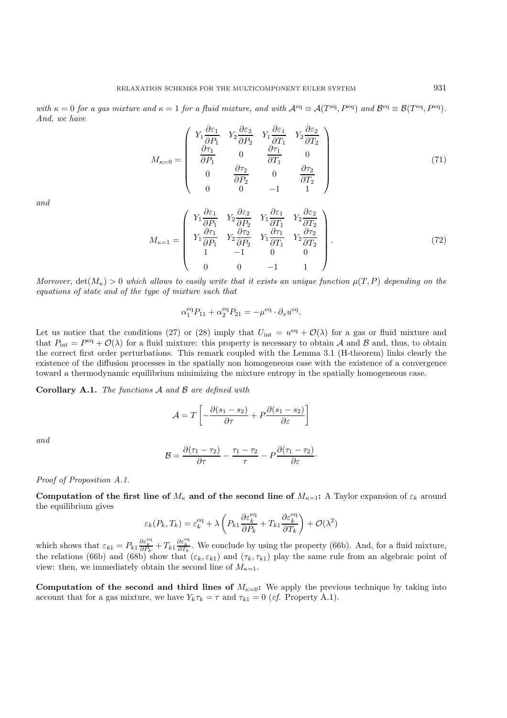*with*  $\kappa = 0$  *for a gas mixture and*  $\kappa = 1$  *for a fluid mixture, and with*  $\mathcal{A}^{\text{eq}} \equiv \mathcal{A}(T^{\text{eq}}, P^{\text{eq}})$  *and*  $\mathcal{B}^{\text{eq}} \equiv \mathcal{B}(T^{\text{eq}}, P^{\text{eq}})$ *. And, we have*

$$
M_{\kappa=0} = \begin{pmatrix} Y_1 \frac{\partial \varepsilon_1}{\partial P_1} & Y_2 \frac{\partial \varepsilon_2}{\partial P_2} & Y_1 \frac{\partial \varepsilon_1}{\partial T_1} & Y_2 \frac{\partial \varepsilon_2}{\partial T_2} \\ \frac{\partial \tau_1}{\partial P_1} & 0 & \frac{\partial \tau_1}{\partial T_1} & 0 \\ 0 & \frac{\partial \tau_2}{\partial P_2} & 0 & \frac{\partial \tau_2}{\partial T_2} \\ 0 & 0 & -1 & 1 \end{pmatrix}
$$
(71)

*and*

$$
M_{\kappa=1} = \begin{pmatrix} Y_1 \frac{\partial \varepsilon_1}{\partial P_1} & Y_2 \frac{\partial \varepsilon_2}{\partial P_2} & Y_1 \frac{\partial \varepsilon_1}{\partial T_1} & Y_2 \frac{\partial \varepsilon_2}{\partial T_2} \\ Y_1 \frac{\partial \tau_1}{\partial P_1} & Y_2 \frac{\partial \tau_2}{\partial P_2} & Y_1 \frac{\partial \tau_1}{\partial T_1} & Y_2 \frac{\partial \tau_2}{\partial T_2} \\ 1 & -1 & 0 & 0 \\ 0 & 0 & -1 & 1 \end{pmatrix} . \tag{72}
$$

*Moreover,*  $det(M_{\kappa}) > 0$  *which allows to easily write that it exists an unique function*  $\mu(T, P)$  *depending on the equations of state and of the type of mixture such that*

$$
\alpha_1^{\text{eq}} P_{11} + \alpha_2^{\text{eq}} P_{21} = -\mu^{\text{eq}} \cdot \partial_x u^{\text{eq}}.
$$

Let us notice that the conditions (27) or (28) imply that  $U_{int} = u^{eq} + \mathcal{O}(\lambda)$  for a gas or fluid mixture and that  $P_{\text{int}} = P^{\text{eq}} + \mathcal{O}(\lambda)$  for a fluid mixture: this property is necessary to obtain A and B and, thus, to obtain the correct first order perturbations. This remark coupled with the Lemma 3.1 (H-theorem) links clearly the existence of the diffusion processes in the spatially non homogeneous case with the existence of a convergence toward a thermodynamic equilibrium minimizing the mixture entropy in the spatially homogeneous case.

**Corollary A.1.** *The functions* A *and* B *are defined with*

$$
\mathcal{A} = T \left[ -\frac{\partial (s_1 - s_2)}{\partial \tau} + P \frac{\partial (s_1 - s_2)}{\partial \varepsilon} \right]
$$

*and*

$$
\mathcal{B}=\frac{\partial(\tau_1-\tau_2)}{\partial\tau}-\frac{\tau_1-\tau_2}{\tau}-P\frac{\partial(\tau_1-\tau_2)}{\partial\varepsilon}\cdot
$$

*Proof of Proposition A.1.*

**Computation of the first line of**  $M_k$  **and of the second line of**  $M_{k=1}$ **: A Taylor expansion of**  $\varepsilon_k$  **around** the equilibrium gives

$$
\varepsilon_k(P_k, T_k) = \varepsilon_k^{\text{eq}} + \lambda \left( P_{k1} \frac{\partial \varepsilon_k^{\text{eq}}}{\partial P_k} + T_{k1} \frac{\partial \varepsilon_k^{\text{eq}}}{\partial T_k} \right) + \mathcal{O}(\lambda^2)
$$

which shows that  $\varepsilon_{k1} = P_{k1} \frac{\partial \varepsilon_k^{\text{eq}}}{\partial P_k} + T_{k1} \frac{\partial \varepsilon_k^{\text{eq}}}{\partial T_k}$ . We conclude by using the property (66b). And, for a fluid mixture, the relations (66b) and (68b) show that  $(\varepsilon_k, \varepsilon_{k1})$  and  $(\tau_k, \tau_{k1})$  play the same rule from an algebraic point of view: then, we immediately obtain the second line of  $M_{\kappa=1}$ .

**Computation of the second and third lines of**  $M_{\kappa=0}$ **: We apply the previous technique by taking into** account that for a gas mixture, we have  $Y_k \tau_k = \tau$  and  $\tau_{k1} = 0$  (*cf.* Property A.1).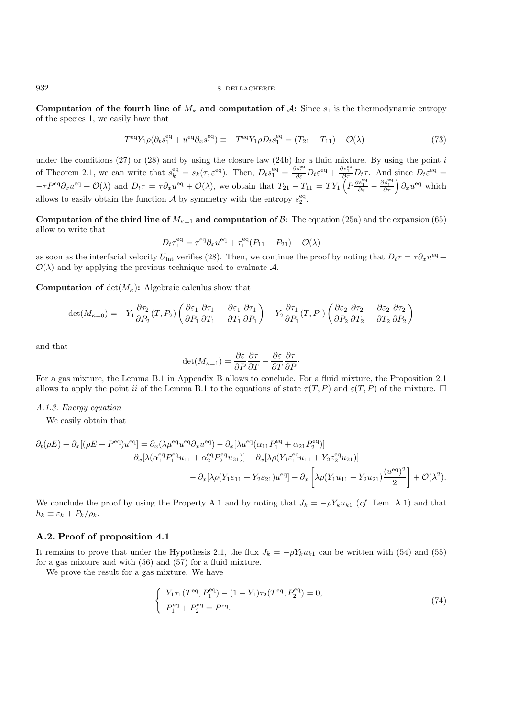**Computation of the fourth line of**  $M_{\kappa}$  **and computation of A: Since**  $s_1$  **is the thermodynamic entropy** of the species 1, we easily have that

$$
-T^{\text{eq}}Y_1\rho(\partial_t s_1^{\text{eq}} + u^{\text{eq}}\partial_x s_1^{\text{eq}}) \equiv -T^{\text{eq}}Y_1\rho D_t s_1^{\text{eq}} = (T_{21} - T_{11}) + \mathcal{O}(\lambda)
$$
\n(73)

under the conditions (27) or (28) and by using the closure law (24b) for a fluid mixture. By using the point  $i$ of Theorem 2.1, we can write that  $s_k^{\text{eq}} = s_k(\tau, \varepsilon^{\text{eq}})$ . Then,  $D_t s_1^{\text{eq}} = \frac{\partial s_1^{\text{eq}}}{\partial \varepsilon} D_t \varepsilon^{\text{eq}} + \frac{\partial s_1^{\text{eq}}}{\partial \tau} D_t \tau$ . And since  $D_t \varepsilon^{\text{eq}} =$  $-\tau P^{\text{eq}} \partial_x u^{\text{eq}} + \mathcal{O}(\lambda)$  and  $D_t \tau = \tau \partial_x u^{\text{eq}} + \mathcal{O}(\lambda)$ , we obtain that  $T_{21} - T_{11} = TY_1 \left( P \frac{\partial s_1^{\text{eq}}}{\partial \tau} - \frac{\partial s_1^{\text{eq}}}{\partial \tau} \right) \partial_x u^{\text{eq}}$  which allows to easily obtain the function A by symmetry with the entropy  $s_2^{eq}$ .

**Computation of the third line of**  $M_{\kappa=1}$  **and computation of B:** The equation (25a) and the expansion (65) allow to write that

$$
D_t \tau_1^{\text{eq}} = \tau^{\text{eq}} \partial_x u^{\text{eq}} + \tau_1^{\text{eq}} (P_{11} - P_{21}) + \mathcal{O}(\lambda)
$$

as soon as the interfacial velocity  $U_{\text{int}}$  verifies (28). Then, we continue the proof by noting that  $D_t \tau = \tau \partial_x u^{\text{eq}} +$  $\mathcal{O}(\lambda)$  and by applying the previous technique used to evaluate A.

**Computation of**  $det(M_{\kappa})$ : Algebraic calculus show that

$$
\det(M_{\kappa=0}) = -Y_1 \frac{\partial \tau_2}{\partial P_2} (T, P_2) \left( \frac{\partial \varepsilon_1}{\partial P_1} \frac{\partial \tau_1}{\partial T_1} - \frac{\partial \varepsilon_1}{\partial T_1} \frac{\partial \tau_1}{\partial P_1} \right) - Y_2 \frac{\partial \tau_1}{\partial P_1} (T, P_1) \left( \frac{\partial \varepsilon_2}{\partial P_2} \frac{\partial \tau_2}{\partial T_2} - \frac{\partial \varepsilon_2}{\partial T_2} \frac{\partial \tau_2}{\partial P_2} \right)
$$

and that

$$
\det(M_{\kappa=1}) = \frac{\partial \varepsilon}{\partial P} \frac{\partial \tau}{\partial T} - \frac{\partial \varepsilon}{\partial T} \frac{\partial \tau}{\partial P}.
$$

For a gas mixture, the Lemma B.1 in Appendix B allows to conclude. For a fluid mixture, the Proposition 2.1 allows to apply the point ii of the Lemma B.1 to the equations of state  $\tau(T,P)$  and  $\varepsilon(T,P)$  of the mixture.  $\Box$ 

#### *A.1.3. Energy equation*

We easily obtain that

$$
\partial_t(\rho E) + \partial_x[(\rho E + P^{\text{eq}})u^{\text{eq}}] = \partial_x(\lambda \mu^{\text{eq}} u^{\text{eq}} \partial_x u^{\text{eq}}) - \partial_x[\lambda u^{\text{eq}}(\alpha_{11} P_1^{\text{eq}} + \alpha_{21} P_2^{\text{eq}})] \n- \partial_x[\lambda(\alpha_1^{\text{eq}} P_1^{\text{eq}} u_{11} + \alpha_2^{\text{eq}} P_2^{\text{eq}} u_{21})] - \partial_x[\lambda \rho(Y_1 \varepsilon_1^{\text{eq}} u_{11} + Y_2 \varepsilon_2^{\text{eq}} u_{21})] \n- \partial_x[\lambda \rho(Y_1 \varepsilon_{11} + Y_2 \varepsilon_{21}) u^{\text{eq}}] - \partial_x\left[\lambda \rho(Y_1 u_{11} + Y_2 u_{21}) \frac{(u^{\text{eq}})^2}{2}\right] + \mathcal{O}(\lambda^2).
$$

We conclude the proof by using the Property A.1 and by noting that  $J_k = -\rho Y_k u_{k1}$  (*cf.* Lem. A.1) and that  $h_k \equiv \varepsilon_k + P_k/\rho_k.$ 

## **A.2. Proof of proposition 4.1**

It remains to prove that under the Hypothesis 2.1, the flux  $J_k = -\rho Y_k u_{k1}$  can be written with (54) and (55) for a gas mixture and with (56) and (57) for a fluid mixture.

We prove the result for a gas mixture. We have

$$
\begin{cases} Y_1 \tau_1(T^{\text{eq}}, P_1^{\text{eq}}) - (1 - Y_1) \tau_2(T^{\text{eq}}, P_2^{\text{eq}}) = 0, \\ P_1^{\text{eq}} + P_2^{\text{eq}} = P^{\text{eq}}. \end{cases} \tag{74}
$$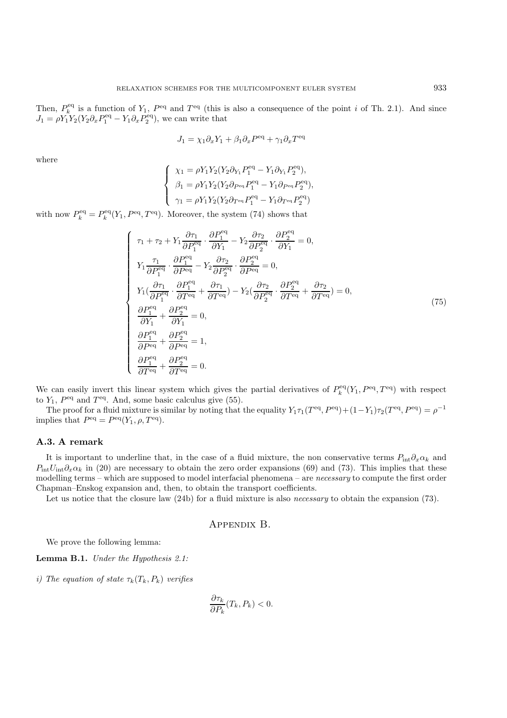Then,  $P_k^{\text{eq}}$  is a function of  $Y_1$ ,  $P_{\text{eq}}$  and  $T_{\text{eq}}$  (this is also a consequence of the point i of Th. 2.1). And since  $J_1 = \rho Y_1 Y_2 (Y_2 \partial_x P_1^{\text{eq}} - Y_1 \partial_x P_2^{\text{eq}})$ , we can write that

$$
J_1 = \chi_1 \partial_x Y_1 + \beta_1 \partial_x P^{\text{eq}} + \gamma_1 \partial_x T^{\text{eq}}
$$

where

$$
\left\{ \begin{array}{l} \chi_1 = \rho Y_1 Y_2 (Y_2 \partial_{Y_1} P_1^{\rm eq} - Y_1 \partial_{Y_1} P_2^{\rm eq}), \\ \beta_1 = \rho Y_1 Y_2 (Y_2 \partial_{P^{\rm eq}} P_1^{\rm eq} - Y_1 \partial_{P^{\rm eq}} P_2^{\rm eq}), \\ \gamma_1 = \rho Y_1 Y_2 (Y_2 \partial_{T^{\rm eq}} P_1^{\rm eq} - Y_1 \partial_{T^{\rm eq}} P_2^{\rm eq}) \end{array} \right.
$$

with now  $P_k^{\text{eq}} = P_k^{\text{eq}}(Y_1, P^{\text{eq}}, T^{\text{eq}})$ . Moreover, the system (74) shows that

$$
\begin{cases}\n\tau_1 + \tau_2 + Y_1 \frac{\partial \tau_1}{\partial P_1^{\text{eq}}} \cdot \frac{\partial P_1^{\text{eq}}}{\partial Y_1} - Y_2 \frac{\partial \tau_2}{\partial P_2^{\text{eq}}} \cdot \frac{\partial P_2^{\text{eq}}}{\partial Y_1} = 0, \\
Y_1 \frac{\tau_1}{\partial P_1^{\text{eq}}} \cdot \frac{\partial P_1^{\text{eq}}}{\partial P^{\text{eq}}} - Y_2 \frac{\partial \tau_2}{\partial P_2^{\text{eq}}} \cdot \frac{\partial P_2^{\text{eq}}}{\partial P^{\text{eq}}} = 0, \\
Y_1 \left(\frac{\partial \tau_1}{\partial P_1^{\text{eq}}} \cdot \frac{\partial P_1^{\text{eq}}}{\partial T^{\text{eq}}} + \frac{\partial \tau_1}{\partial T^{\text{eq}}} \right) - Y_2 \left(\frac{\partial \tau_2}{\partial P_2^{\text{eq}}} \cdot \frac{\partial P_2^{\text{eq}}}{\partial T^{\text{eq}}} + \frac{\partial \tau_2}{\partial T^{\text{eq}}} \right) = 0, \\
\frac{\partial P_1^{\text{eq}}}{\partial Y_1} + \frac{\partial P_2^{\text{eq}}}{\partial Y_1} = 0, \\
\frac{\partial P_1^{\text{eq}}}{\partial P^{\text{eq}}} + \frac{\partial P_2^{\text{eq}}}{\partial P^{\text{eq}}} = 1, \\
\frac{\partial P_1^{\text{eq}}}{\partial P^{\text{eq}}} + \frac{\partial P_2^{\text{eq}}}{\partial P^{\text{eq}}} = 1, \\
\frac{\partial P_1^{\text{eq}}}{\partial T^{\text{eq}}} + \frac{\partial P_2^{\text{eq}}}{\partial T^{\text{eq}}} = 0.\n\end{cases} \tag{75}
$$

We can easily invert this linear system which gives the partial derivatives of  $P_k^{\text{eq}}(Y_1, P^{\text{eq}}, T^{\text{eq}})$  with respect to  $Y_1$ ,  $P^{\text{eq}}$  and  $T^{\text{eq}}$ . And, some basic calculus give (55).

The proof for a fluid mixture is similar by noting that the equality  $Y_1\tau_1(T^{\text{eq}}, P^{\text{eq}})+(1-Y_1)\tau_2(T^{\text{eq}}, P^{\text{eq}})=\rho^{-1}$ implies that  $P<sup>eq</sup> = P<sup>eq</sup>(Y<sub>1</sub>, \rho, T<sup>eq</sup>).$ 

## **A.3. A remark**

It is important to underline that, in the case of a fluid mixture, the non conservative terms  $P_{\text{int}}\partial_x\alpha_k$  and  $P_{\text{int}}U_{\text{int}}\partial_x\alpha_k$  in (20) are necessary to obtain the zero order expansions (69) and (73). This implies that these modelling terms – which are supposed to model interfacial phenomena – are *necessary* to compute the first order Chapman–Enskog expansion and, then, to obtain the transport coefficients.

Let us notice that the closure law (24b) for a fluid mixture is also *necessary* to obtain the expansion (73).

#### Appendix B.

We prove the following lemma:

**Lemma B.1.** *Under the Hypothesis 2.1:*

*i)* The equation of state  $\tau_k(T_k, P_k)$  *verifies* 

$$
\frac{\partial \tau_k}{\partial P_k}(T_k, P_k) < 0.
$$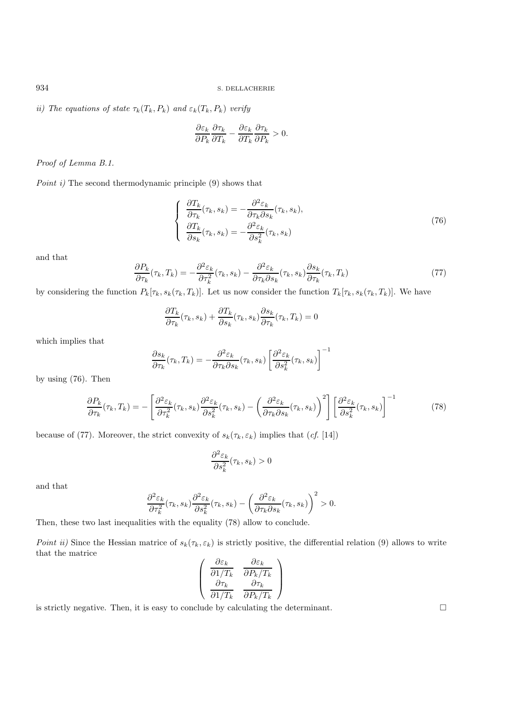*ii)* The equations of state  $\tau_k(T_k, P_k)$  and  $\varepsilon_k(T_k, P_k)$  *verify* 

$$
\frac{\partial \varepsilon_k}{\partial P_k} \frac{\partial \tau_k}{\partial T_k} - \frac{\partial \varepsilon_k}{\partial T_k} \frac{\partial \tau_k}{\partial P_k} > 0.
$$

*Proof of Lemma B.1.*

*Point i)* The second thermodynamic principle (9) shows that

$$
\begin{cases}\n\frac{\partial T_k}{\partial \tau_k}(\tau_k, s_k) = -\frac{\partial^2 \varepsilon_k}{\partial \tau_k \partial s_k}(\tau_k, s_k), \\
\frac{\partial T_k}{\partial s_k}(\tau_k, s_k) = -\frac{\partial^2 \varepsilon_k}{\partial s_k^2}(\tau_k, s_k)\n\end{cases} \tag{76}
$$

and that

$$
\frac{\partial P_k}{\partial \tau_k}(\tau_k, T_k) = -\frac{\partial^2 \varepsilon_k}{\partial \tau_k^2}(\tau_k, s_k) - \frac{\partial^2 \varepsilon_k}{\partial \tau_k \partial s_k}(\tau_k, s_k) \frac{\partial s_k}{\partial \tau_k}(\tau_k, T_k)
$$
\n(77)

by considering the function  $P_k[\tau_k, s_k(\tau_k, T_k)]$ . Let us now consider the function  $T_k[\tau_k, s_k(\tau_k, T_k)]$ . We have

$$
\frac{\partial T_k}{\partial \tau_k}(\tau_k, s_k) + \frac{\partial T_k}{\partial s_k}(\tau_k, s_k) \frac{\partial s_k}{\partial \tau_k}(\tau_k, T_k) = 0
$$

which implies that

$$
\frac{\partial s_k}{\partial \tau_k}(\tau_k,T_k) = -\frac{\partial^2 \varepsilon_k}{\partial \tau_k \partial s_k}(\tau_k,s_k) \left[ \frac{\partial^2 \varepsilon_k}{\partial s_k^2}(\tau_k,s_k) \right]^{-1}
$$

by using (76). Then

$$
\frac{\partial P_k}{\partial \tau_k}(\tau_k, T_k) = -\left[\frac{\partial^2 \varepsilon_k}{\partial \tau_k^2}(\tau_k, s_k) \frac{\partial^2 \varepsilon_k}{\partial s_k^2}(\tau_k, s_k) - \left(\frac{\partial^2 \varepsilon_k}{\partial \tau_k \partial s_k}(\tau_k, s_k)\right)^2\right] \left[\frac{\partial^2 \varepsilon_k}{\partial s_k^2}(\tau_k, s_k)\right]^{-1}
$$
(78)

because of (77). Moreover, the strict convexity of  $s_k(\tau_k, \varepsilon_k)$  implies that  $(cf.$  [14])

$$
\frac{\partial^2 \varepsilon_k}{\partial s_k^2}(\tau_k, s_k) > 0
$$

and that

$$
\frac{\partial^2 \varepsilon_k}{\partial \tau_k^2}(\tau_k, s_k) \frac{\partial^2 \varepsilon_k}{\partial s_k^2}(\tau_k, s_k) - \left(\frac{\partial^2 \varepsilon_k}{\partial \tau_k \partial s_k}(\tau_k, s_k)\right)^2 > 0.
$$

Then, these two last inequalities with the equality (78) allow to conclude.

*Point ii)* Since the Hessian matrice of  $s_k(\tau_k, \varepsilon_k)$  is strictly positive, the differential relation (9) allows to write that the matrice ∂ε<sup>k</sup>

$$
\begin{pmatrix}\n\frac{\partial \varepsilon_k}{\partial 1/T_k} & \frac{\partial \varepsilon_k}{\partial P_k/T_k} \\
\frac{\partial \tau_k}{\partial 1/T_k} & \frac{\partial \tau_k}{\partial P_k/T_k}\n\end{pmatrix}
$$

is strictly negative. Then, it is easy to conclude by calculating the determinant.  $\square$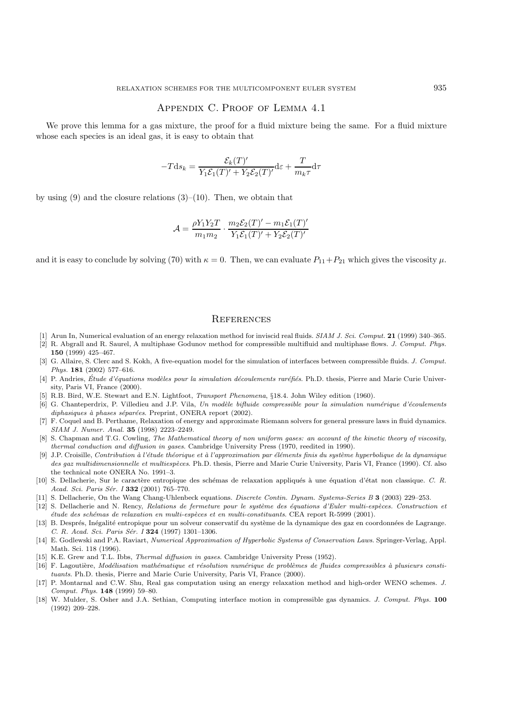## Appendix C. Proof of Lemma 4.1

We prove this lemma for a gas mixture, the proof for a fluid mixture being the same. For a fluid mixture whose each species is an ideal gas, it is easy to obtain that

$$
-T\mathrm{d} s_k = \frac{\mathcal{E}_k(T)'}{Y_1\mathcal{E}_1(T)' + Y_2\mathcal{E}_2(T)'}\mathrm{d}\varepsilon + \frac{T}{m_k\tau}\mathrm{d}\tau
$$

by using  $(9)$  and the closure relations  $(3)$ – $(10)$ . Then, we obtain that

$$
\mathcal{A} = \frac{\rho Y_1 Y_2 T}{m_1 m_2} \cdot \frac{m_2 \mathcal{E}_2(T)' - m_1 \mathcal{E}_1(T)'}{Y_1 \mathcal{E}_1(T)' + Y_2 \mathcal{E}_2(T)'}
$$

and it is easy to conclude by solving (70) with  $\kappa = 0$ . Then, we can evaluate  $P_{11} + P_{21}$  which gives the viscosity  $\mu$ .

## **REFERENCES**

- [1] Arun In, Numerical evaluation of an energy relaxation method for inviscid real fluids. SIAM J. Sci. Comput. **21** (1999) 340–365.
- [2] R. Abgrall and R. Saurel, A multiphase Godunov method for compressible multifluid and multiphase flows. J. Comput. Phys. **150** (1999) 425–467.
- [3] G. Allaire, S. Clerc and S. Kokh, A five-equation model for the simulation of interfaces between compressible fluids. J. Comput. Phys. **181** (2002) 577–616.
- [4] P. Andries, Étude d'équations modèles pour la simulation découlements raréfiés. Ph.D. thesis, Pierre and Marie Curie University, Paris VI, France (2000).
- [5] R.B. Bird, W.E. Stewart and E.N. Lightfoot, Transport Phenomena, §18.4. John Wiley edition (1960).
- [6] G. Chanteperdrix, P. Villedieu and J.P. Vila, Un modèle bifluide compressible pour la simulation numérique d'écoulements  $diphasiques \n\hat{a} \nphases \n\hat{separées}$ . Preprint, ONERA report (2002).
- [7] F. Coquel and B. Perthame, Relaxation of energy and approximate Riemann solvers for general pressure laws in fluid dynamics. SIAM J. Numer. Anal. **35** (1998) 2223–2249.
- [8] S. Chapman and T.G. Cowling, The Mathematical theory of non uniform gases: an account of the kinetic theory of viscosity, thermal conduction and diffusion in gases. Cambridge University Press (1970, reedited in 1990).
- [9] J.P. Croisille, Contribution à l'étude théorique et à l'approximation par éléments finis du système hyperbolique de la dynamique des gaz multidimensionnelle et multiespèces. Ph.D. thesis, Pierre and Marie Curie University, Paris VI, France (1990). Cf. also the technical note ONERA No. 1991–3.
- [10] S. Dellacherie, Sur le caractère entropique des schémas de relaxation appliqués à une équation d'état non classique. C. R. Acad. Sci. Paris Sér. I **332** (2001) 765-770.
- [11] S. Dellacherie, On the Wang Chang-Uhlenbeck equations. Discrete Contin. Dynam. Systems-Series B **3** (2003) 229–253.
- [12] S. Dellacherie and N. Rency, Relations de fermeture pour le système des équations d'Euler multi-espèces. Construction et étude des schémas de relaxation en multi-espèces et en multi-constituants. CEA report R-5999 (2001).
- [13] B. Després, Inégalité entropique pour un solveur conservatif du système de la dynamique des gaz en coordonnées de Lagrange. C. R. Acad. Sci. Paris Sér. I **324** (1997) 1301-1306.
- [14] E. Godlewski and P.A. Raviart, Numerical Approximation of Hyperbolic Systems of Conservation Laws. Springer-Verlag, Appl. Math. Sci. 118 (1996).
- [15] K.E. Grew and T.L. Ibbs, Thermal diffusion in gases. Cambridge University Press (1952).
- [16] F. Lagoutière, Modélisation mathématique et résolution numérique de problèmes de fluides compressibles à plusieurs constituants. Ph.D. thesis, Pierre and Marie Curie University, Paris VI, France (2000).
- [17] P. Montarnal and C.W. Shu, Real gas computation using an energy relaxation method and high-order WENO schemes. J. Comput. Phys. **148** (1999) 59–80.
- [18] W. Mulder, S. Osher and J.A. Sethian, Computing interface motion in compressible gas dynamics. J. Comput. Phys. **100** (1992) 209–228.